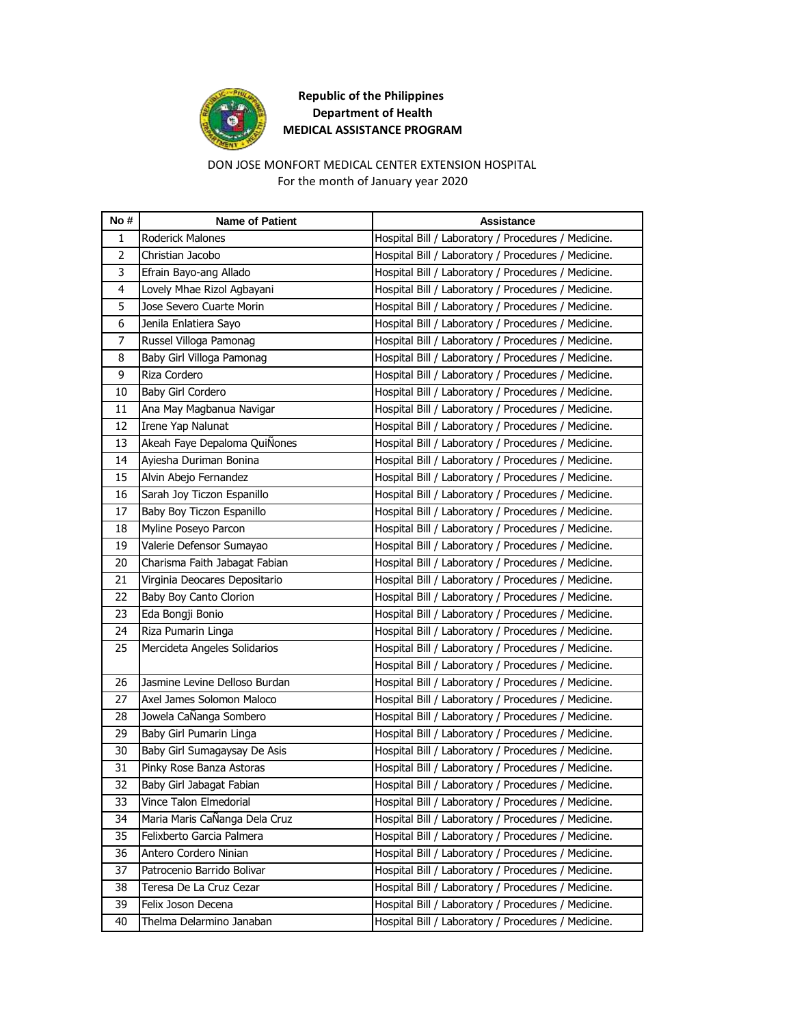

### DON JOSE MONFORT MEDICAL CENTER EXTENSION HOSPITAL For the month of January year 2020

| No #           | <b>Name of Patient</b>        | <b>Assistance</b>                                   |
|----------------|-------------------------------|-----------------------------------------------------|
| 1              | Roderick Malones              | Hospital Bill / Laboratory / Procedures / Medicine. |
| $\overline{2}$ | Christian Jacobo              | Hospital Bill / Laboratory / Procedures / Medicine. |
| 3              | Efrain Bayo-ang Allado        | Hospital Bill / Laboratory / Procedures / Medicine. |
| 4              | Lovely Mhae Rizol Agbayani    | Hospital Bill / Laboratory / Procedures / Medicine. |
| 5              | Jose Severo Cuarte Morin      | Hospital Bill / Laboratory / Procedures / Medicine. |
| 6              | Jenila Enlatiera Sayo         | Hospital Bill / Laboratory / Procedures / Medicine. |
| 7              | Russel Villoga Pamonag        | Hospital Bill / Laboratory / Procedures / Medicine. |
| 8              | Baby Girl Villoga Pamonag     | Hospital Bill / Laboratory / Procedures / Medicine. |
| 9              | Riza Cordero                  | Hospital Bill / Laboratory / Procedures / Medicine. |
| 10             | Baby Girl Cordero             | Hospital Bill / Laboratory / Procedures / Medicine. |
| 11             | Ana May Magbanua Navigar      | Hospital Bill / Laboratory / Procedures / Medicine. |
| 12             | Irene Yap Nalunat             | Hospital Bill / Laboratory / Procedures / Medicine. |
| 13             | Akeah Faye Depaloma QuiÑones  | Hospital Bill / Laboratory / Procedures / Medicine. |
| 14             | Ayiesha Duriman Bonina        | Hospital Bill / Laboratory / Procedures / Medicine. |
| 15             | Alvin Abejo Fernandez         | Hospital Bill / Laboratory / Procedures / Medicine. |
| 16             | Sarah Joy Ticzon Espanillo    | Hospital Bill / Laboratory / Procedures / Medicine. |
| 17             | Baby Boy Ticzon Espanillo     | Hospital Bill / Laboratory / Procedures / Medicine. |
| 18             | Myline Poseyo Parcon          | Hospital Bill / Laboratory / Procedures / Medicine. |
| 19             | Valerie Defensor Sumayao      | Hospital Bill / Laboratory / Procedures / Medicine. |
| 20             | Charisma Faith Jabagat Fabian | Hospital Bill / Laboratory / Procedures / Medicine. |
| 21             | Virginia Deocares Depositario | Hospital Bill / Laboratory / Procedures / Medicine. |
| 22             | Baby Boy Canto Clorion        | Hospital Bill / Laboratory / Procedures / Medicine. |
| 23             | Eda Bongji Bonio              | Hospital Bill / Laboratory / Procedures / Medicine. |
| 24             | Riza Pumarin Linga            | Hospital Bill / Laboratory / Procedures / Medicine. |
| 25             | Mercideta Angeles Solidarios  | Hospital Bill / Laboratory / Procedures / Medicine. |
|                |                               | Hospital Bill / Laboratory / Procedures / Medicine. |
| 26             | Jasmine Levine Delloso Burdan | Hospital Bill / Laboratory / Procedures / Medicine. |
| 27             | Axel James Solomon Maloco     | Hospital Bill / Laboratory / Procedures / Medicine. |
| 28             | Jowela CaÑanga Sombero        | Hospital Bill / Laboratory / Procedures / Medicine. |
| 29             | Baby Girl Pumarin Linga       | Hospital Bill / Laboratory / Procedures / Medicine. |
| 30             | Baby Girl Sumagaysay De Asis  | Hospital Bill / Laboratory / Procedures / Medicine. |
| 31             | Pinky Rose Banza Astoras      | Hospital Bill / Laboratory / Procedures / Medicine. |
| 32             | Baby Girl Jabagat Fabian      | Hospital Bill / Laboratory / Procedures / Medicine. |
| 33             | Vince Talon Elmedorial        | Hospital Bill / Laboratory / Procedures / Medicine. |
| 34             | Maria Maris CaÑanga Dela Cruz | Hospital Bill / Laboratory / Procedures / Medicine. |
| 35             | Felixberto Garcia Palmera     | Hospital Bill / Laboratory / Procedures / Medicine. |
| 36             | Antero Cordero Ninian         | Hospital Bill / Laboratory / Procedures / Medicine. |
| 37             | Patrocenio Barrido Bolivar    | Hospital Bill / Laboratory / Procedures / Medicine. |
| 38             | Teresa De La Cruz Cezar       | Hospital Bill / Laboratory / Procedures / Medicine. |
| 39             | Felix Joson Decena            | Hospital Bill / Laboratory / Procedures / Medicine. |
| 40             | Thelma Delarmino Janaban      | Hospital Bill / Laboratory / Procedures / Medicine. |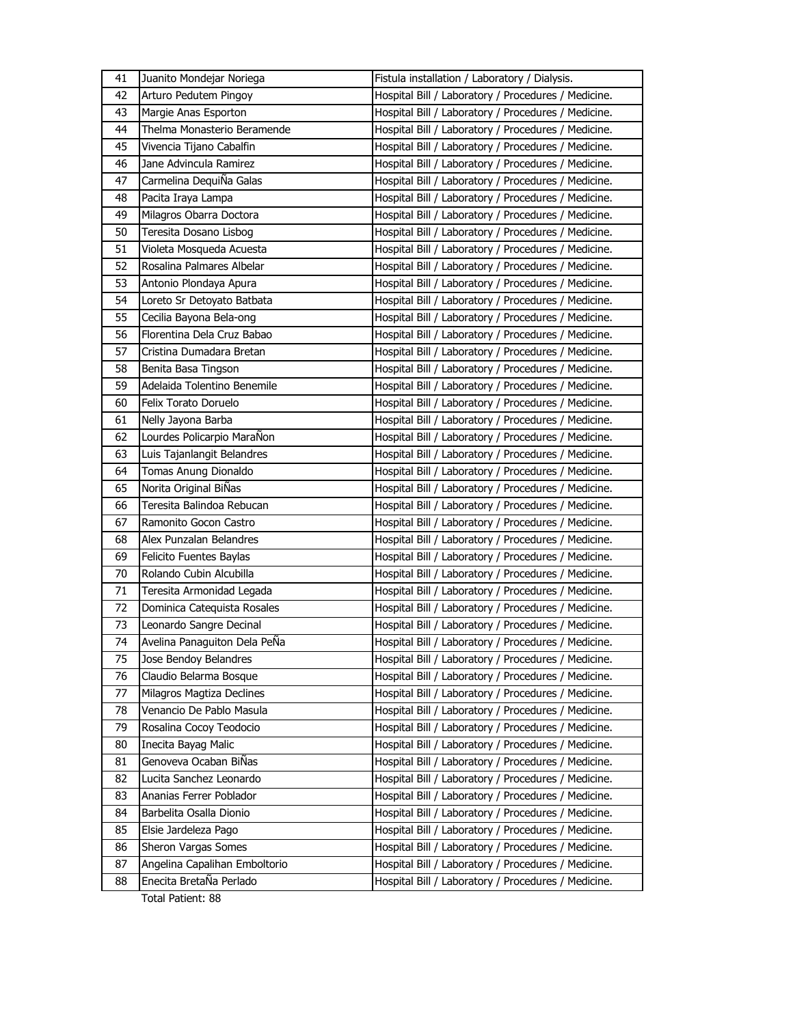| 41 | Juanito Mondejar Noriega      | Fistula installation / Laboratory / Dialysis.       |
|----|-------------------------------|-----------------------------------------------------|
| 42 | Arturo Pedutem Pingoy         | Hospital Bill / Laboratory / Procedures / Medicine. |
| 43 | Margie Anas Esporton          | Hospital Bill / Laboratory / Procedures / Medicine. |
| 44 | Thelma Monasterio Beramende   | Hospital Bill / Laboratory / Procedures / Medicine. |
| 45 | Vivencia Tijano Cabalfin      | Hospital Bill / Laboratory / Procedures / Medicine. |
| 46 | Jane Advincula Ramirez        | Hospital Bill / Laboratory / Procedures / Medicine. |
| 47 | Carmelina DequiÑa Galas       | Hospital Bill / Laboratory / Procedures / Medicine. |
| 48 | Pacita Iraya Lampa            | Hospital Bill / Laboratory / Procedures / Medicine. |
| 49 | Milagros Obarra Doctora       | Hospital Bill / Laboratory / Procedures / Medicine. |
| 50 | Teresita Dosano Lisbog        | Hospital Bill / Laboratory / Procedures / Medicine. |
| 51 | Violeta Mosqueda Acuesta      | Hospital Bill / Laboratory / Procedures / Medicine. |
| 52 | Rosalina Palmares Albelar     | Hospital Bill / Laboratory / Procedures / Medicine. |
| 53 | Antonio Plondaya Apura        | Hospital Bill / Laboratory / Procedures / Medicine. |
| 54 | Loreto Sr Detoyato Batbata    | Hospital Bill / Laboratory / Procedures / Medicine. |
| 55 | Cecilia Bayona Bela-ong       | Hospital Bill / Laboratory / Procedures / Medicine. |
| 56 | Florentina Dela Cruz Babao    | Hospital Bill / Laboratory / Procedures / Medicine. |
| 57 | Cristina Dumadara Bretan      | Hospital Bill / Laboratory / Procedures / Medicine. |
| 58 | Benita Basa Tingson           | Hospital Bill / Laboratory / Procedures / Medicine. |
| 59 | Adelaida Tolentino Benemile   | Hospital Bill / Laboratory / Procedures / Medicine. |
| 60 | Felix Torato Doruelo          | Hospital Bill / Laboratory / Procedures / Medicine. |
| 61 | Nelly Jayona Barba            | Hospital Bill / Laboratory / Procedures / Medicine. |
| 62 | Lourdes Policarpio MaraÑon    | Hospital Bill / Laboratory / Procedures / Medicine. |
| 63 | Luis Tajanlangit Belandres    | Hospital Bill / Laboratory / Procedures / Medicine. |
| 64 | Tomas Anung Dionaldo          | Hospital Bill / Laboratory / Procedures / Medicine. |
| 65 | Norita Original BiNas         | Hospital Bill / Laboratory / Procedures / Medicine. |
| 66 | Teresita Balindoa Rebucan     | Hospital Bill / Laboratory / Procedures / Medicine. |
| 67 | Ramonito Gocon Castro         | Hospital Bill / Laboratory / Procedures / Medicine. |
| 68 | Alex Punzalan Belandres       | Hospital Bill / Laboratory / Procedures / Medicine. |
| 69 | Felicito Fuentes Baylas       | Hospital Bill / Laboratory / Procedures / Medicine. |
| 70 | Rolando Cubin Alcubilla       | Hospital Bill / Laboratory / Procedures / Medicine. |
| 71 | Teresita Armonidad Legada     | Hospital Bill / Laboratory / Procedures / Medicine. |
| 72 | Dominica Catequista Rosales   | Hospital Bill / Laboratory / Procedures / Medicine. |
| 73 | Leonardo Sangre Decinal       | Hospital Bill / Laboratory / Procedures / Medicine. |
| 74 | Avelina Panaguiton Dela PeÑa  | Hospital Bill / Laboratory / Procedures / Medicine. |
| 75 | Jose Bendoy Belandres         | Hospital Bill / Laboratory / Procedures / Medicine. |
| 76 | Claudio Belarma Bosque        | Hospital Bill / Laboratory / Procedures / Medicine. |
| 77 | Milagros Magtiza Declines     | Hospital Bill / Laboratory / Procedures / Medicine. |
| 78 | Venancio De Pablo Masula      | Hospital Bill / Laboratory / Procedures / Medicine. |
| 79 | Rosalina Cocoy Teodocio       | Hospital Bill / Laboratory / Procedures / Medicine. |
| 80 | Inecita Bayag Malic           | Hospital Bill / Laboratory / Procedures / Medicine. |
| 81 | Genoveva Ocaban BiÑas         | Hospital Bill / Laboratory / Procedures / Medicine. |
| 82 | Lucita Sanchez Leonardo       | Hospital Bill / Laboratory / Procedures / Medicine. |
| 83 | Ananias Ferrer Poblador       | Hospital Bill / Laboratory / Procedures / Medicine. |
| 84 | Barbelita Osalla Dionio       | Hospital Bill / Laboratory / Procedures / Medicine. |
| 85 | Elsie Jardeleza Pago          | Hospital Bill / Laboratory / Procedures / Medicine. |
| 86 | Sheron Vargas Somes           | Hospital Bill / Laboratory / Procedures / Medicine. |
| 87 | Angelina Capalihan Emboltorio | Hospital Bill / Laboratory / Procedures / Medicine. |
| 88 | Enecita BretaÑa Perlado       | Hospital Bill / Laboratory / Procedures / Medicine. |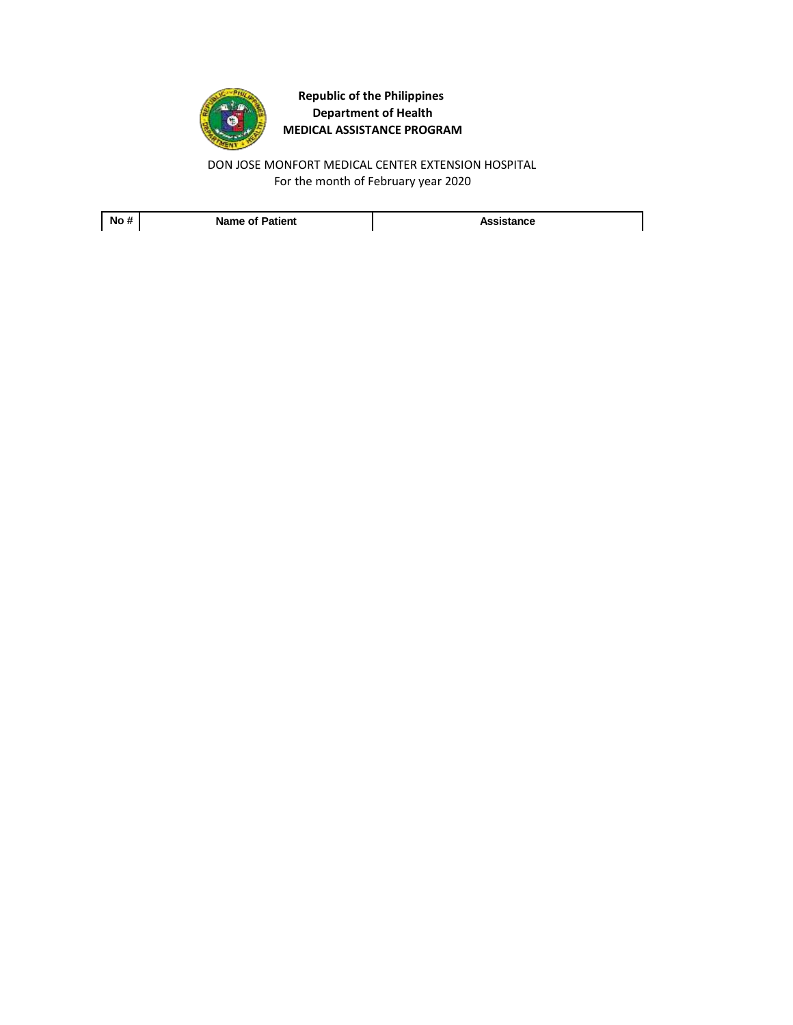

For the month of February year 2020 DON JOSE MONFORT MEDICAL CENTER EXTENSION HOSPITAL

**No # Name of Patient Assistance**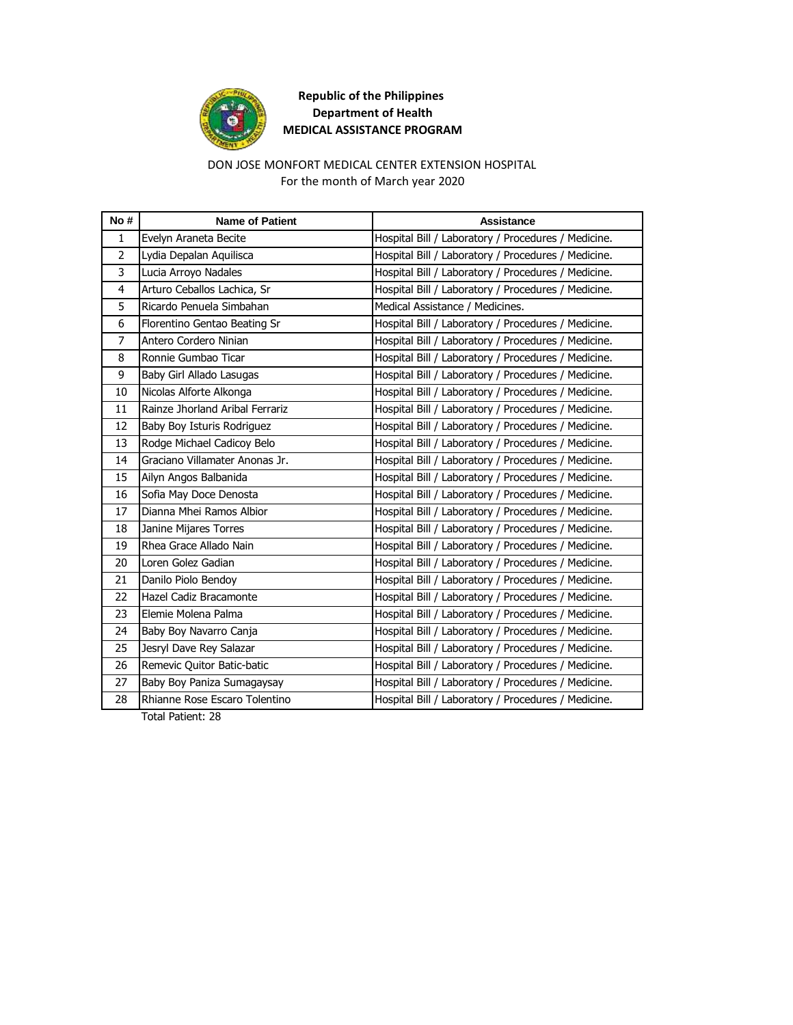

### For the month of March year 2020 DON JOSE MONFORT MEDICAL CENTER EXTENSION HOSPITAL

| No #           | <b>Name of Patient</b>          | <b>Assistance</b>                                   |
|----------------|---------------------------------|-----------------------------------------------------|
| $\mathbf{1}$   | Evelyn Araneta Becite           | Hospital Bill / Laboratory / Procedures / Medicine. |
| $\overline{2}$ | Lydia Depalan Aquilisca         | Hospital Bill / Laboratory / Procedures / Medicine. |
| 3              | Lucia Arroyo Nadales            | Hospital Bill / Laboratory / Procedures / Medicine. |
| 4              | Arturo Ceballos Lachica, Sr     | Hospital Bill / Laboratory / Procedures / Medicine. |
| 5              | Ricardo Penuela Simbahan        | Medical Assistance / Medicines.                     |
| 6              | Florentino Gentao Beating Sr    | Hospital Bill / Laboratory / Procedures / Medicine. |
| $\overline{7}$ | Antero Cordero Ninian           | Hospital Bill / Laboratory / Procedures / Medicine. |
| 8              | Ronnie Gumbao Ticar             | Hospital Bill / Laboratory / Procedures / Medicine. |
| 9              | Baby Girl Allado Lasugas        | Hospital Bill / Laboratory / Procedures / Medicine. |
| 10             | Nicolas Alforte Alkonga         | Hospital Bill / Laboratory / Procedures / Medicine. |
| 11             | Rainze Jhorland Aribal Ferrariz | Hospital Bill / Laboratory / Procedures / Medicine. |
| 12             | Baby Boy Isturis Rodriguez      | Hospital Bill / Laboratory / Procedures / Medicine. |
| 13             | Rodge Michael Cadicoy Belo      | Hospital Bill / Laboratory / Procedures / Medicine. |
| 14             | Graciano Villamater Anonas Jr.  | Hospital Bill / Laboratory / Procedures / Medicine. |
| 15             | Ailyn Angos Balbanida           | Hospital Bill / Laboratory / Procedures / Medicine. |
| 16             | Sofia May Doce Denosta          | Hospital Bill / Laboratory / Procedures / Medicine. |
| 17             | Dianna Mhei Ramos Albior        | Hospital Bill / Laboratory / Procedures / Medicine. |
| 18             | Janine Mijares Torres           | Hospital Bill / Laboratory / Procedures / Medicine. |
| 19             | Rhea Grace Allado Nain          | Hospital Bill / Laboratory / Procedures / Medicine. |
| 20             | Loren Golez Gadian              | Hospital Bill / Laboratory / Procedures / Medicine. |
| 21             | Danilo Piolo Bendoy             | Hospital Bill / Laboratory / Procedures / Medicine. |
| 22             | Hazel Cadiz Bracamonte          | Hospital Bill / Laboratory / Procedures / Medicine. |
| 23             | Elemie Molena Palma             | Hospital Bill / Laboratory / Procedures / Medicine. |
| 24             | Baby Boy Navarro Canja          | Hospital Bill / Laboratory / Procedures / Medicine. |
| 25             | Jesryl Dave Rey Salazar         | Hospital Bill / Laboratory / Procedures / Medicine. |
| 26             | Remevic Quitor Batic-batic      | Hospital Bill / Laboratory / Procedures / Medicine. |
| 27             | Baby Boy Paniza Sumagaysay      | Hospital Bill / Laboratory / Procedures / Medicine. |
| 28             | Rhianne Rose Escaro Tolentino   | Hospital Bill / Laboratory / Procedures / Medicine. |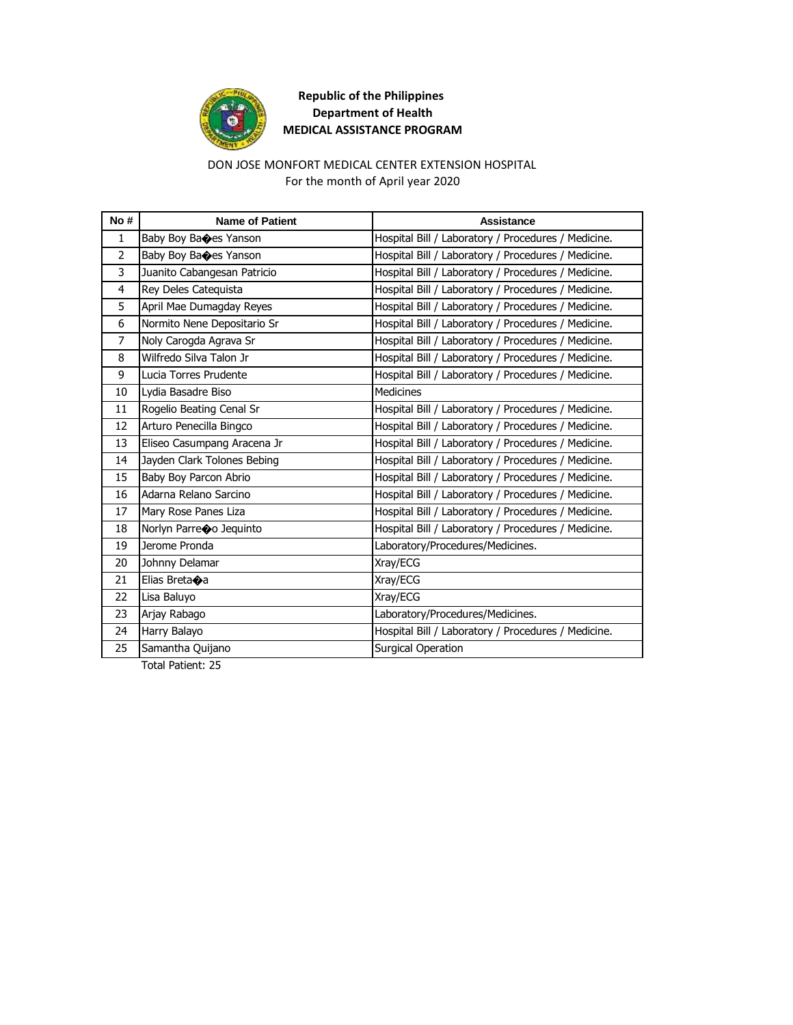

### DON JOSE MONFORT MEDICAL CENTER EXTENSION HOSPITAL For the month of April year 2020

| No#            | <b>Name of Patient</b>      | <b>Assistance</b>                                   |
|----------------|-----------------------------|-----------------------------------------------------|
| $\mathbf{1}$   | Baby Boy Baces Yanson       | Hospital Bill / Laboratory / Procedures / Medicine. |
| $\overline{2}$ | Baby Boy Baoes Yanson       | Hospital Bill / Laboratory / Procedures / Medicine. |
| 3              | Juanito Cabangesan Patricio | Hospital Bill / Laboratory / Procedures / Medicine. |
| 4              | Rey Deles Catequista        | Hospital Bill / Laboratory / Procedures / Medicine. |
| 5              | April Mae Dumagday Reyes    | Hospital Bill / Laboratory / Procedures / Medicine. |
| 6              | Normito Nene Depositario Sr | Hospital Bill / Laboratory / Procedures / Medicine. |
| $\overline{7}$ | Noly Carogda Agrava Sr      | Hospital Bill / Laboratory / Procedures / Medicine. |
| 8              | Wilfredo Silva Talon Jr     | Hospital Bill / Laboratory / Procedures / Medicine. |
| 9              | Lucia Torres Prudente       | Hospital Bill / Laboratory / Procedures / Medicine. |
| 10             | Lydia Basadre Biso          | <b>Medicines</b>                                    |
| 11             | Rogelio Beating Cenal Sr    | Hospital Bill / Laboratory / Procedures / Medicine. |
| 12             | Arturo Penecilla Bingco     | Hospital Bill / Laboratory / Procedures / Medicine. |
| 13             | Eliseo Casumpang Aracena Jr | Hospital Bill / Laboratory / Procedures / Medicine. |
| 14             | Jayden Clark Tolones Bebing | Hospital Bill / Laboratory / Procedures / Medicine. |
| 15             | Baby Boy Parcon Abrio       | Hospital Bill / Laboratory / Procedures / Medicine. |
| 16             | Adarna Relano Sarcino       | Hospital Bill / Laboratory / Procedures / Medicine. |
| 17             | Mary Rose Panes Liza        | Hospital Bill / Laboratory / Procedures / Medicine. |
| 18             | Norlyn Parreoo Jequinto     | Hospital Bill / Laboratory / Procedures / Medicine. |
| 19             | Jerome Pronda               | Laboratory/Procedures/Medicines.                    |
| 20             | Johnny Delamar              | Xray/ECG                                            |
| 21             | Elias Breta $\bullet$ a     | Xray/ECG                                            |
| 22             | Lisa Baluyo                 | Xray/ECG                                            |
| 23             | Arjay Rabago                | Laboratory/Procedures/Medicines.                    |
| 24             | Harry Balayo                | Hospital Bill / Laboratory / Procedures / Medicine. |
| 25             | Samantha Quijano            | <b>Surgical Operation</b>                           |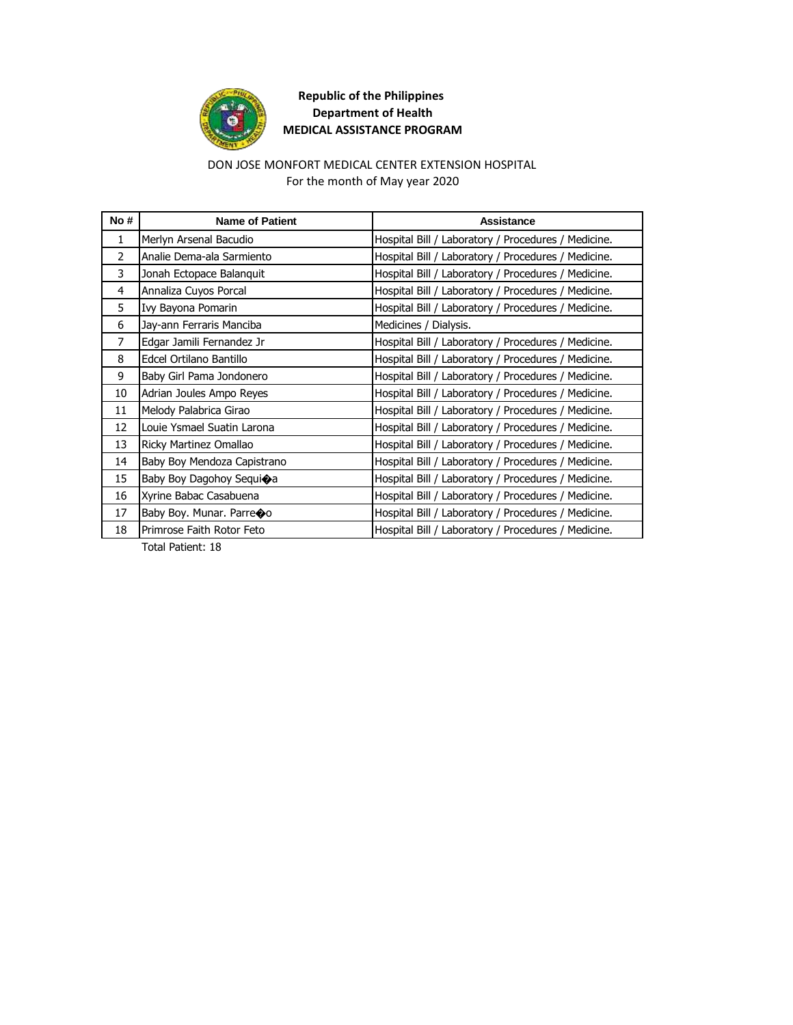

### For the month of May year 2020 DON JOSE MONFORT MEDICAL CENTER EXTENSION HOSPITAL

| No#            | <b>Name of Patient</b>      | Assistance                                          |
|----------------|-----------------------------|-----------------------------------------------------|
| $\mathbf{1}$   | Merlyn Arsenal Bacudio      | Hospital Bill / Laboratory / Procedures / Medicine. |
| $\overline{2}$ | Analie Dema-ala Sarmiento   | Hospital Bill / Laboratory / Procedures / Medicine. |
| 3              | Jonah Ectopace Balanquit    | Hospital Bill / Laboratory / Procedures / Medicine. |
| 4              | Annaliza Cuyos Porcal       | Hospital Bill / Laboratory / Procedures / Medicine. |
| 5              | Ivy Bayona Pomarin          | Hospital Bill / Laboratory / Procedures / Medicine. |
| 6              | Jay-ann Ferraris Manciba    | Medicines / Dialysis.                               |
| 7              | Edgar Jamili Fernandez Jr   | Hospital Bill / Laboratory / Procedures / Medicine. |
| 8              | Edcel Ortilano Bantillo     | Hospital Bill / Laboratory / Procedures / Medicine. |
| 9              | Baby Girl Pama Jondonero    | Hospital Bill / Laboratory / Procedures / Medicine. |
| 10             | Adrian Joules Ampo Reyes    | Hospital Bill / Laboratory / Procedures / Medicine. |
| 11             | Melody Palabrica Girao      | Hospital Bill / Laboratory / Procedures / Medicine. |
| 12             | Louie Ysmael Suatin Larona  | Hospital Bill / Laboratory / Procedures / Medicine. |
| 13             | Ricky Martinez Omallao      | Hospital Bill / Laboratory / Procedures / Medicine. |
| 14             | Baby Boy Mendoza Capistrano | Hospital Bill / Laboratory / Procedures / Medicine. |
| 15             | Baby Boy Dagohoy Sequioa    | Hospital Bill / Laboratory / Procedures / Medicine. |
| 16             | Xyrine Babac Casabuena      | Hospital Bill / Laboratory / Procedures / Medicine. |
| 17             | Baby Boy. Munar. Parreoo    | Hospital Bill / Laboratory / Procedures / Medicine. |
| 18             | Primrose Faith Rotor Feto   | Hospital Bill / Laboratory / Procedures / Medicine. |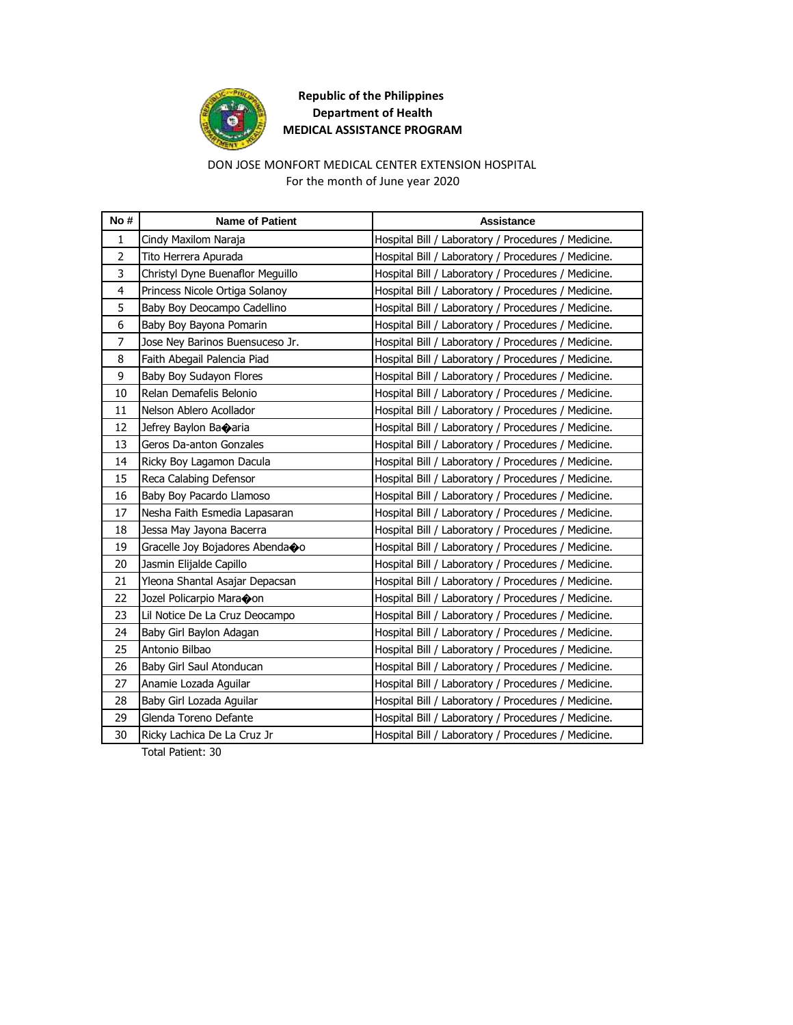

### DON JOSE MONFORT MEDICAL CENTER EXTENSION HOSPITAL For the month of June year 2020

| No#            | <b>Name of Patient</b>           | <b>Assistance</b>                                   |
|----------------|----------------------------------|-----------------------------------------------------|
| $\mathbf{1}$   | Cindy Maxilom Naraja             | Hospital Bill / Laboratory / Procedures / Medicine. |
| 2              | Tito Herrera Apurada             | Hospital Bill / Laboratory / Procedures / Medicine. |
| 3              | Christyl Dyne Buenaflor Meguillo | Hospital Bill / Laboratory / Procedures / Medicine. |
| 4              | Princess Nicole Ortiga Solanoy   | Hospital Bill / Laboratory / Procedures / Medicine. |
| 5              | Baby Boy Deocampo Cadellino      | Hospital Bill / Laboratory / Procedures / Medicine. |
| 6              | Baby Boy Bayona Pomarin          | Hospital Bill / Laboratory / Procedures / Medicine. |
| $\overline{7}$ | Jose Ney Barinos Buensuceso Jr.  | Hospital Bill / Laboratory / Procedures / Medicine. |
| 8              | Faith Abegail Palencia Piad      | Hospital Bill / Laboratory / Procedures / Medicine. |
| 9              | Baby Boy Sudayon Flores          | Hospital Bill / Laboratory / Procedures / Medicine. |
| 10             | Relan Demafelis Belonio          | Hospital Bill / Laboratory / Procedures / Medicine. |
| 11             | Nelson Ablero Acollador          | Hospital Bill / Laboratory / Procedures / Medicine. |
| 12             | Jefrey Baylon Banaria            | Hospital Bill / Laboratory / Procedures / Medicine. |
| 13             | Geros Da-anton Gonzales          | Hospital Bill / Laboratory / Procedures / Medicine. |
| 14             | Ricky Boy Lagamon Dacula         | Hospital Bill / Laboratory / Procedures / Medicine. |
| 15             | Reca Calabing Defensor           | Hospital Bill / Laboratory / Procedures / Medicine. |
| 16             | Baby Boy Pacardo Llamoso         | Hospital Bill / Laboratory / Procedures / Medicine. |
| 17             | Nesha Faith Esmedia Lapasaran    | Hospital Bill / Laboratory / Procedures / Medicine. |
| 18             | Jessa May Jayona Bacerra         | Hospital Bill / Laboratory / Procedures / Medicine. |
| 19             | Gracelle Joy Bojadores Abenda�o  | Hospital Bill / Laboratory / Procedures / Medicine. |
| 20             | Jasmin Elijalde Capillo          | Hospital Bill / Laboratory / Procedures / Medicine. |
| 21             | Yleona Shantal Asajar Depacsan   | Hospital Bill / Laboratory / Procedures / Medicine. |
| 22             | Jozel Policarpio Maraoon         | Hospital Bill / Laboratory / Procedures / Medicine. |
| 23             | Lil Notice De La Cruz Deocampo   | Hospital Bill / Laboratory / Procedures / Medicine. |
| 24             | Baby Girl Baylon Adagan          | Hospital Bill / Laboratory / Procedures / Medicine. |
| 25             | Antonio Bilbao                   | Hospital Bill / Laboratory / Procedures / Medicine. |
| 26             | Baby Girl Saul Atonducan         | Hospital Bill / Laboratory / Procedures / Medicine. |
| 27             | Anamie Lozada Aquilar            | Hospital Bill / Laboratory / Procedures / Medicine. |
| 28             | Baby Girl Lozada Aguilar         | Hospital Bill / Laboratory / Procedures / Medicine. |
| 29             | Glenda Toreno Defante            | Hospital Bill / Laboratory / Procedures / Medicine. |
| 30             | Ricky Lachica De La Cruz Jr      | Hospital Bill / Laboratory / Procedures / Medicine. |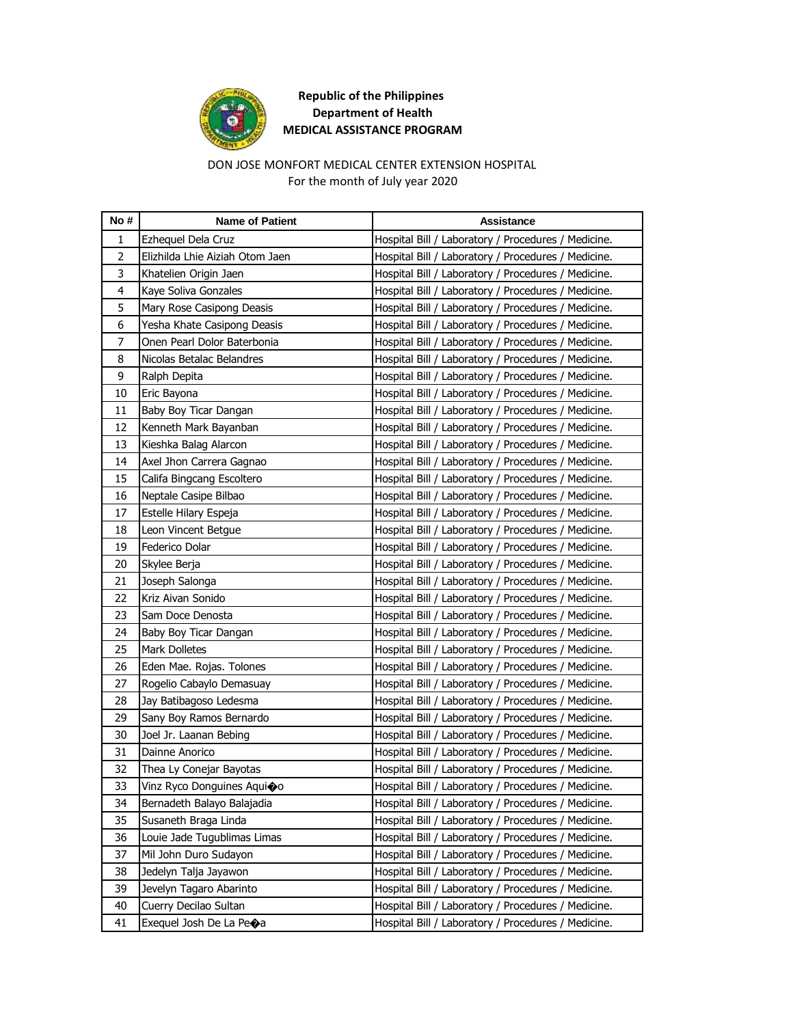

### DON JOSE MONFORT MEDICAL CENTER EXTENSION HOSPITAL For the month of July year 2020

| No#            | <b>Name of Patient</b>          | Assistance                                          |
|----------------|---------------------------------|-----------------------------------------------------|
| 1              | Ezheguel Dela Cruz              | Hospital Bill / Laboratory / Procedures / Medicine. |
| $\overline{2}$ | Elizhilda Lhie Aiziah Otom Jaen | Hospital Bill / Laboratory / Procedures / Medicine. |
| 3              | Khatelien Origin Jaen           | Hospital Bill / Laboratory / Procedures / Medicine. |
| $\overline{4}$ | Kaye Soliva Gonzales            | Hospital Bill / Laboratory / Procedures / Medicine. |
| 5              | Mary Rose Casipong Deasis       | Hospital Bill / Laboratory / Procedures / Medicine. |
| 6              | Yesha Khate Casipong Deasis     | Hospital Bill / Laboratory / Procedures / Medicine. |
| 7              | Onen Pearl Dolor Baterbonia     | Hospital Bill / Laboratory / Procedures / Medicine. |
| 8              | Nicolas Betalac Belandres       | Hospital Bill / Laboratory / Procedures / Medicine. |
| 9              | Ralph Depita                    | Hospital Bill / Laboratory / Procedures / Medicine. |
| 10             | Eric Bayona                     | Hospital Bill / Laboratory / Procedures / Medicine. |
| 11             | Baby Boy Ticar Dangan           | Hospital Bill / Laboratory / Procedures / Medicine. |
| 12             | Kenneth Mark Bayanban           | Hospital Bill / Laboratory / Procedures / Medicine. |
| 13             | Kieshka Balag Alarcon           | Hospital Bill / Laboratory / Procedures / Medicine. |
| 14             | Axel Jhon Carrera Gagnao        | Hospital Bill / Laboratory / Procedures / Medicine. |
| 15             | Califa Bingcang Escoltero       | Hospital Bill / Laboratory / Procedures / Medicine. |
| 16             | Neptale Casipe Bilbao           | Hospital Bill / Laboratory / Procedures / Medicine. |
| 17             | Estelle Hilary Espeja           | Hospital Bill / Laboratory / Procedures / Medicine. |
| 18             | Leon Vincent Betgue             | Hospital Bill / Laboratory / Procedures / Medicine. |
| 19             | Federico Dolar                  | Hospital Bill / Laboratory / Procedures / Medicine. |
| 20             | Skylee Berja                    | Hospital Bill / Laboratory / Procedures / Medicine. |
| 21             | Joseph Salonga                  | Hospital Bill / Laboratory / Procedures / Medicine. |
| 22             | Kriz Aivan Sonido               | Hospital Bill / Laboratory / Procedures / Medicine. |
| 23             | Sam Doce Denosta                | Hospital Bill / Laboratory / Procedures / Medicine. |
| 24             | Baby Boy Ticar Dangan           | Hospital Bill / Laboratory / Procedures / Medicine. |
| 25             | Mark Dolletes                   | Hospital Bill / Laboratory / Procedures / Medicine. |
| 26             | Eden Mae. Rojas. Tolones        | Hospital Bill / Laboratory / Procedures / Medicine. |
| 27             | Rogelio Cabaylo Demasuay        | Hospital Bill / Laboratory / Procedures / Medicine. |
| 28             | Jay Batibagoso Ledesma          | Hospital Bill / Laboratory / Procedures / Medicine. |
| 29             | Sany Boy Ramos Bernardo         | Hospital Bill / Laboratory / Procedures / Medicine. |
| 30             | Joel Jr. Laanan Bebing          | Hospital Bill / Laboratory / Procedures / Medicine. |
| 31             | Dainne Anorico                  | Hospital Bill / Laboratory / Procedures / Medicine. |
| 32             | Thea Ly Conejar Bayotas         | Hospital Bill / Laboratory / Procedures / Medicine. |
| 33             | Vinz Ryco Donguines Aguioo      | Hospital Bill / Laboratory / Procedures / Medicine. |
| 34             | Bernadeth Balayo Balajadia      | Hospital Bill / Laboratory / Procedures / Medicine. |
| 35             | Susaneth Braga Linda            | Hospital Bill / Laboratory / Procedures / Medicine. |
| 36             | Louie Jade Tugublimas Limas     | Hospital Bill / Laboratory / Procedures / Medicine. |
| 37             | Mil John Duro Sudayon           | Hospital Bill / Laboratory / Procedures / Medicine. |
| 38             | Jedelyn Talja Jayawon           | Hospital Bill / Laboratory / Procedures / Medicine. |
| 39             | Jevelyn Tagaro Abarinto         | Hospital Bill / Laboratory / Procedures / Medicine. |
| 40             | Cuerry Decilao Sultan           | Hospital Bill / Laboratory / Procedures / Medicine. |
| 41             | Exequel Josh De La Peoa         | Hospital Bill / Laboratory / Procedures / Medicine. |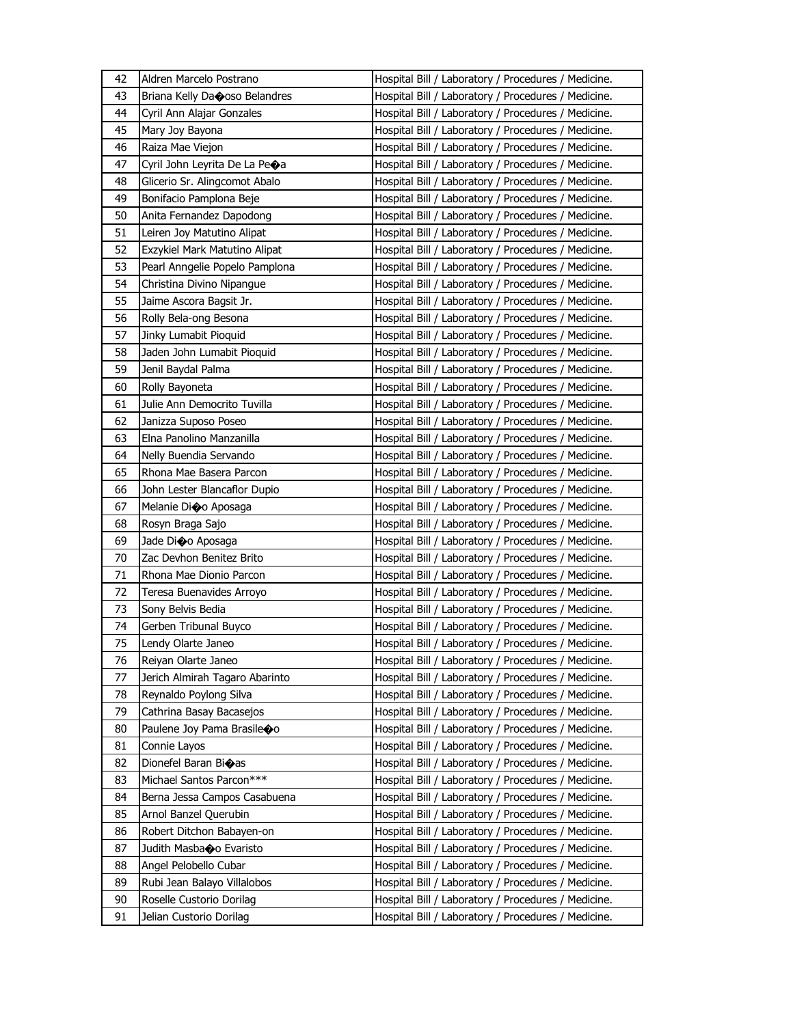| 42 | Aldren Marcelo Postrano        | Hospital Bill / Laboratory / Procedures / Medicine. |
|----|--------------------------------|-----------------------------------------------------|
| 43 | Briana Kelly Danoso Belandres  | Hospital Bill / Laboratory / Procedures / Medicine. |
| 44 | Cyril Ann Alajar Gonzales      | Hospital Bill / Laboratory / Procedures / Medicine. |
| 45 | Mary Joy Bayona                | Hospital Bill / Laboratory / Procedures / Medicine. |
| 46 | Raiza Mae Viejon               | Hospital Bill / Laboratory / Procedures / Medicine. |
| 47 | Cyril John Leyrita De La Peoa  | Hospital Bill / Laboratory / Procedures / Medicine. |
| 48 | Glicerio Sr. Alingcomot Abalo  | Hospital Bill / Laboratory / Procedures / Medicine. |
| 49 | Bonifacio Pamplona Beje        | Hospital Bill / Laboratory / Procedures / Medicine. |
| 50 | Anita Fernandez Dapodong       | Hospital Bill / Laboratory / Procedures / Medicine. |
| 51 | Leiren Joy Matutino Alipat     | Hospital Bill / Laboratory / Procedures / Medicine. |
| 52 | Exzykiel Mark Matutino Alipat  | Hospital Bill / Laboratory / Procedures / Medicine. |
| 53 | Pearl Anngelie Popelo Pamplona | Hospital Bill / Laboratory / Procedures / Medicine. |
| 54 | Christina Divino Nipangue      | Hospital Bill / Laboratory / Procedures / Medicine. |
| 55 | Jaime Ascora Bagsit Jr.        | Hospital Bill / Laboratory / Procedures / Medicine. |
| 56 | Rolly Bela-ong Besona          | Hospital Bill / Laboratory / Procedures / Medicine. |
| 57 | Jinky Lumabit Pioquid          | Hospital Bill / Laboratory / Procedures / Medicine. |
| 58 | Jaden John Lumabit Pioquid     | Hospital Bill / Laboratory / Procedures / Medicine. |
| 59 | Jenil Baydal Palma             | Hospital Bill / Laboratory / Procedures / Medicine. |
| 60 | Rolly Bayoneta                 | Hospital Bill / Laboratory / Procedures / Medicine. |
| 61 | Julie Ann Democrito Tuvilla    | Hospital Bill / Laboratory / Procedures / Medicine. |
| 62 | Janizza Suposo Poseo           | Hospital Bill / Laboratory / Procedures / Medicine. |
| 63 | Elna Panolino Manzanilla       | Hospital Bill / Laboratory / Procedures / Medicine. |
| 64 | Nelly Buendia Servando         | Hospital Bill / Laboratory / Procedures / Medicine. |
| 65 | Rhona Mae Basera Parcon        | Hospital Bill / Laboratory / Procedures / Medicine. |
| 66 | John Lester Blancaflor Dupio   | Hospital Bill / Laboratory / Procedures / Medicine. |
| 67 | Melanie Dioo Aposaga           | Hospital Bill / Laboratory / Procedures / Medicine. |
| 68 | Rosyn Braga Sajo               | Hospital Bill / Laboratory / Procedures / Medicine. |
| 69 | Jade Di�o Aposaga              | Hospital Bill / Laboratory / Procedures / Medicine. |
| 70 | Zac Devhon Benitez Brito       | Hospital Bill / Laboratory / Procedures / Medicine. |
| 71 | Rhona Mae Dionio Parcon        | Hospital Bill / Laboratory / Procedures / Medicine. |
| 72 | Teresa Buenavides Arroyo       | Hospital Bill / Laboratory / Procedures / Medicine. |
| 73 | Sony Belvis Bedia              | Hospital Bill / Laboratory / Procedures / Medicine. |
| 74 | Gerben Tribunal Buyco          | Hospital Bill / Laboratory / Procedures / Medicine. |
| 75 | Lendy Olarte Janeo             | Hospital Bill / Laboratory / Procedures / Medicine. |
| 76 | Reiyan Olarte Janeo            | Hospital Bill / Laboratory / Procedures / Medicine. |
| 77 | Jerich Almirah Tagaro Abarinto | Hospital Bill / Laboratory / Procedures / Medicine. |
| 78 | Reynaldo Poylong Silva         | Hospital Bill / Laboratory / Procedures / Medicine. |
| 79 | Cathrina Basay Bacasejos       | Hospital Bill / Laboratory / Procedures / Medicine. |
| 80 | Paulene Joy Pama Brasile�o     | Hospital Bill / Laboratory / Procedures / Medicine. |
| 81 | Connie Layos                   | Hospital Bill / Laboratory / Procedures / Medicine. |
| 82 | Dionefel Baran Bioas           | Hospital Bill / Laboratory / Procedures / Medicine. |
| 83 | Michael Santos Parcon***       | Hospital Bill / Laboratory / Procedures / Medicine. |
| 84 | Berna Jessa Campos Casabuena   | Hospital Bill / Laboratory / Procedures / Medicine. |
| 85 | Arnol Banzel Querubin          | Hospital Bill / Laboratory / Procedures / Medicine. |
| 86 | Robert Ditchon Babayen-on      | Hospital Bill / Laboratory / Procedures / Medicine. |
| 87 | Judith Masbao Evaristo         | Hospital Bill / Laboratory / Procedures / Medicine. |
| 88 | Angel Pelobello Cubar          | Hospital Bill / Laboratory / Procedures / Medicine. |
| 89 | Rubi Jean Balayo Villalobos    | Hospital Bill / Laboratory / Procedures / Medicine. |
| 90 | Roselle Custorio Dorilag       | Hospital Bill / Laboratory / Procedures / Medicine. |
|    |                                |                                                     |
| 91 | Jelian Custorio Dorilag        | Hospital Bill / Laboratory / Procedures / Medicine. |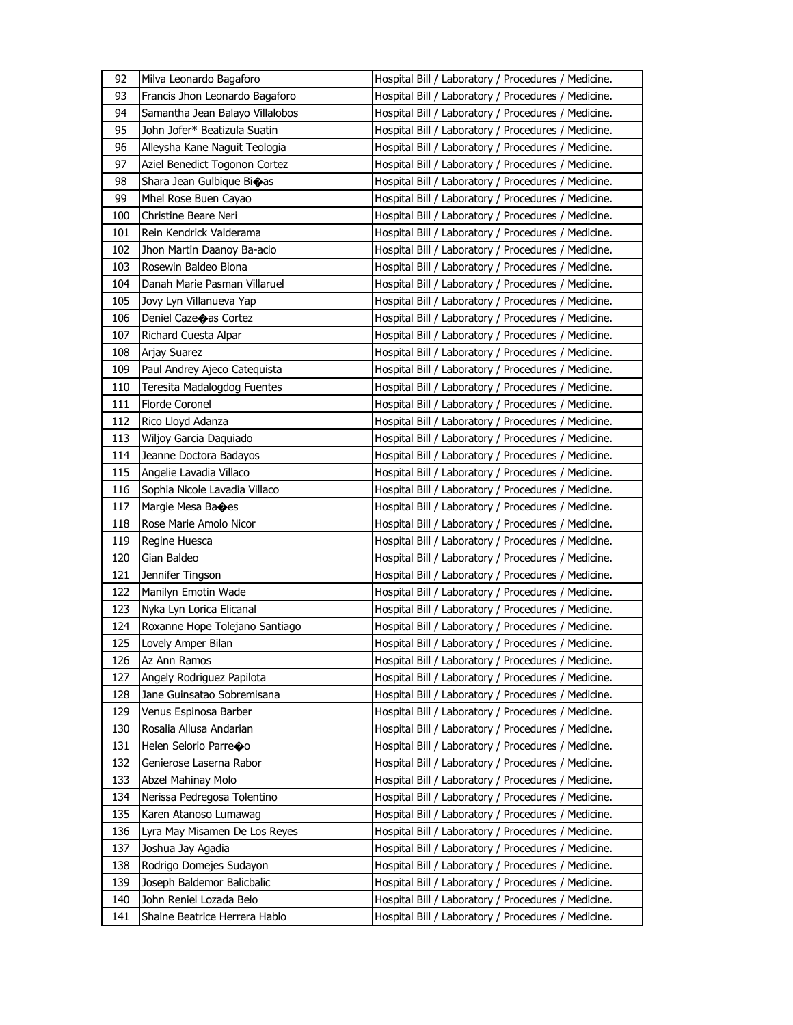| 92  | Milva Leonardo Bagaforo         | Hospital Bill / Laboratory / Procedures / Medicine. |
|-----|---------------------------------|-----------------------------------------------------|
| 93  | Francis Jhon Leonardo Bagaforo  | Hospital Bill / Laboratory / Procedures / Medicine. |
| 94  | Samantha Jean Balayo Villalobos | Hospital Bill / Laboratory / Procedures / Medicine. |
| 95  | John Jofer* Beatizula Suatin    | Hospital Bill / Laboratory / Procedures / Medicine. |
| 96  | Alleysha Kane Naguit Teologia   | Hospital Bill / Laboratory / Procedures / Medicine. |
| 97  | Aziel Benedict Togonon Cortez   | Hospital Bill / Laboratory / Procedures / Medicine. |
| 98  | Shara Jean Gulbique Bi�as       | Hospital Bill / Laboratory / Procedures / Medicine. |
| 99  | Mhel Rose Buen Cayao            | Hospital Bill / Laboratory / Procedures / Medicine. |
| 100 | Christine Beare Neri            | Hospital Bill / Laboratory / Procedures / Medicine. |
| 101 | Rein Kendrick Valderama         | Hospital Bill / Laboratory / Procedures / Medicine. |
| 102 | Jhon Martin Daanoy Ba-acio      | Hospital Bill / Laboratory / Procedures / Medicine. |
| 103 | Rosewin Baldeo Biona            | Hospital Bill / Laboratory / Procedures / Medicine. |
| 104 | Danah Marie Pasman Villaruel    | Hospital Bill / Laboratory / Procedures / Medicine. |
| 105 | Jovy Lyn Villanueva Yap         | Hospital Bill / Laboratory / Procedures / Medicine. |
| 106 | Deniel Caze�as Cortez           | Hospital Bill / Laboratory / Procedures / Medicine. |
| 107 | Richard Cuesta Alpar            | Hospital Bill / Laboratory / Procedures / Medicine. |
| 108 | Arjay Suarez                    | Hospital Bill / Laboratory / Procedures / Medicine. |
| 109 | Paul Andrey Ajeco Catequista    | Hospital Bill / Laboratory / Procedures / Medicine. |
| 110 | Teresita Madalogdog Fuentes     | Hospital Bill / Laboratory / Procedures / Medicine. |
| 111 | Florde Coronel                  | Hospital Bill / Laboratory / Procedures / Medicine. |
| 112 | Rico Lloyd Adanza               | Hospital Bill / Laboratory / Procedures / Medicine. |
| 113 | Wiljoy Garcia Daquiado          | Hospital Bill / Laboratory / Procedures / Medicine. |
| 114 | Jeanne Doctora Badayos          | Hospital Bill / Laboratory / Procedures / Medicine. |
| 115 | Angelie Lavadia Villaco         | Hospital Bill / Laboratory / Procedures / Medicine. |
| 116 | Sophia Nicole Lavadia Villaco   | Hospital Bill / Laboratory / Procedures / Medicine. |
|     | Margie Mesa Ba�es               | Hospital Bill / Laboratory / Procedures / Medicine. |
| 117 |                                 |                                                     |
| 118 | Rose Marie Amolo Nicor          | Hospital Bill / Laboratory / Procedures / Medicine. |
| 119 | Regine Huesca                   | Hospital Bill / Laboratory / Procedures / Medicine. |
| 120 | Gian Baldeo                     | Hospital Bill / Laboratory / Procedures / Medicine. |
| 121 | Jennifer Tingson                | Hospital Bill / Laboratory / Procedures / Medicine. |
| 122 | Manilyn Emotin Wade             | Hospital Bill / Laboratory / Procedures / Medicine. |
| 123 | Nyka Lyn Lorica Elicanal        | Hospital Bill / Laboratory / Procedures / Medicine. |
| 124 | Roxanne Hope Tolejano Santiago  | Hospital Bill / Laboratory / Procedures / Medicine. |
| 125 | Lovely Amper Bilan              | Hospital Bill / Laboratory / Procedures / Medicine. |
| 126 | Az Ann Ramos                    | Hospital Bill / Laboratory / Procedures / Medicine. |
| 127 | Angely Rodriguez Papilota       | Hospital Bill / Laboratory / Procedures / Medicine. |
| 128 | Jane Guinsatao Sobremisana      | Hospital Bill / Laboratory / Procedures / Medicine. |
| 129 | Venus Espinosa Barber           | Hospital Bill / Laboratory / Procedures / Medicine. |
| 130 | Rosalia Allusa Andarian         | Hospital Bill / Laboratory / Procedures / Medicine. |
| 131 | Helen Selorio Parreoo           | Hospital Bill / Laboratory / Procedures / Medicine. |
| 132 | Genierose Laserna Rabor         | Hospital Bill / Laboratory / Procedures / Medicine. |
| 133 | Abzel Mahinay Molo              | Hospital Bill / Laboratory / Procedures / Medicine. |
| 134 | Nerissa Pedregosa Tolentino     | Hospital Bill / Laboratory / Procedures / Medicine. |
| 135 | Karen Atanoso Lumawag           | Hospital Bill / Laboratory / Procedures / Medicine. |
| 136 | Lyra May Misamen De Los Reyes   | Hospital Bill / Laboratory / Procedures / Medicine. |
| 137 | Joshua Jay Agadia               | Hospital Bill / Laboratory / Procedures / Medicine. |
| 138 | Rodrigo Domejes Sudayon         | Hospital Bill / Laboratory / Procedures / Medicine. |
| 139 | Joseph Baldemor Balicbalic      | Hospital Bill / Laboratory / Procedures / Medicine. |
| 140 | John Reniel Lozada Belo         | Hospital Bill / Laboratory / Procedures / Medicine. |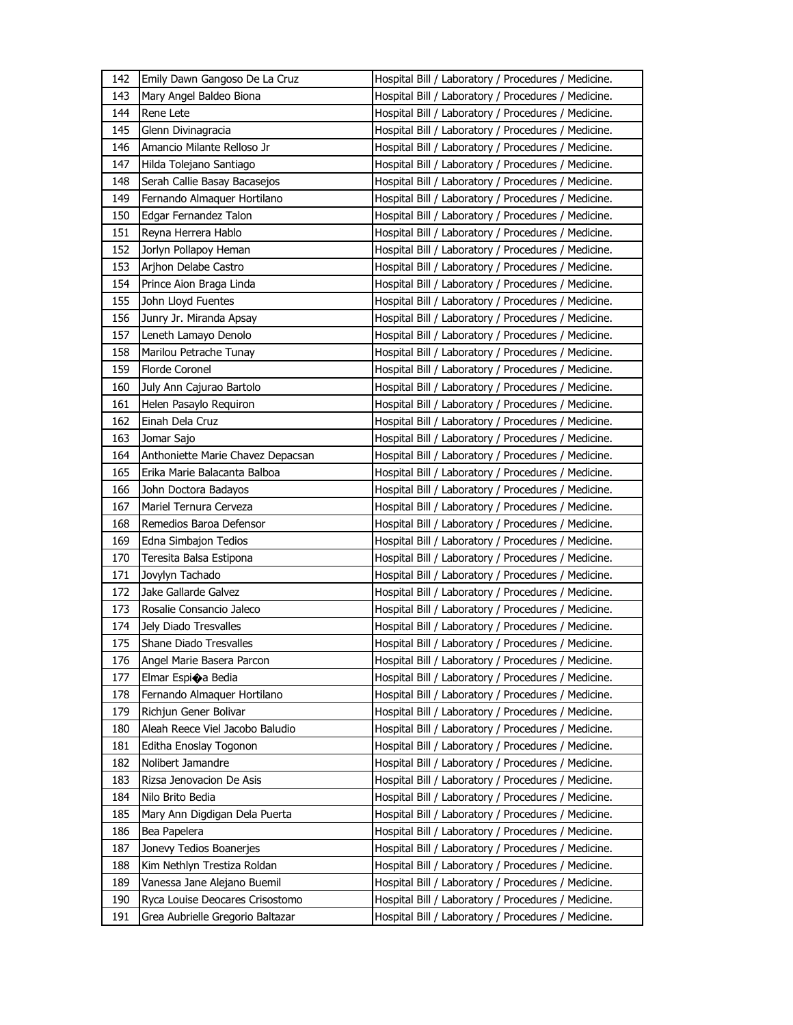| 142 | Emily Dawn Gangoso De La Cruz     | Hospital Bill / Laboratory / Procedures / Medicine. |
|-----|-----------------------------------|-----------------------------------------------------|
| 143 | Mary Angel Baldeo Biona           | Hospital Bill / Laboratory / Procedures / Medicine. |
| 144 | Rene Lete                         | Hospital Bill / Laboratory / Procedures / Medicine. |
| 145 | Glenn Divinagracia                | Hospital Bill / Laboratory / Procedures / Medicine. |
| 146 | Amancio Milante Relloso Jr        | Hospital Bill / Laboratory / Procedures / Medicine. |
| 147 | Hilda Tolejano Santiago           | Hospital Bill / Laboratory / Procedures / Medicine. |
| 148 | Serah Callie Basay Bacasejos      | Hospital Bill / Laboratory / Procedures / Medicine. |
| 149 | Fernando Almaquer Hortilano       | Hospital Bill / Laboratory / Procedures / Medicine. |
| 150 | Edgar Fernandez Talon             | Hospital Bill / Laboratory / Procedures / Medicine. |
| 151 | Reyna Herrera Hablo               | Hospital Bill / Laboratory / Procedures / Medicine. |
| 152 | Jorlyn Pollapoy Heman             | Hospital Bill / Laboratory / Procedures / Medicine. |
| 153 | Arjhon Delabe Castro              | Hospital Bill / Laboratory / Procedures / Medicine. |
| 154 | Prince Aion Braga Linda           | Hospital Bill / Laboratory / Procedures / Medicine. |
| 155 | John Lloyd Fuentes                | Hospital Bill / Laboratory / Procedures / Medicine. |
| 156 | Junry Jr. Miranda Apsay           | Hospital Bill / Laboratory / Procedures / Medicine. |
| 157 | Leneth Lamayo Denolo              | Hospital Bill / Laboratory / Procedures / Medicine. |
| 158 | Marilou Petrache Tunay            | Hospital Bill / Laboratory / Procedures / Medicine. |
| 159 | <b>Florde Coronel</b>             | Hospital Bill / Laboratory / Procedures / Medicine. |
| 160 | July Ann Cajurao Bartolo          | Hospital Bill / Laboratory / Procedures / Medicine. |
| 161 | Helen Pasaylo Requiron            | Hospital Bill / Laboratory / Procedures / Medicine. |
| 162 | Einah Dela Cruz                   | Hospital Bill / Laboratory / Procedures / Medicine. |
| 163 | Jomar Sajo                        | Hospital Bill / Laboratory / Procedures / Medicine. |
| 164 | Anthoniette Marie Chavez Depacsan | Hospital Bill / Laboratory / Procedures / Medicine. |
| 165 | Erika Marie Balacanta Balboa      | Hospital Bill / Laboratory / Procedures / Medicine. |
| 166 | John Doctora Badayos              | Hospital Bill / Laboratory / Procedures / Medicine. |
| 167 | Mariel Ternura Cerveza            | Hospital Bill / Laboratory / Procedures / Medicine. |
| 168 | Remedios Baroa Defensor           | Hospital Bill / Laboratory / Procedures / Medicine. |
|     |                                   |                                                     |
| 169 | Edna Simbajon Tedios              | Hospital Bill / Laboratory / Procedures / Medicine. |
| 170 | Teresita Balsa Estipona           | Hospital Bill / Laboratory / Procedures / Medicine. |
| 171 | Jovylyn Tachado                   | Hospital Bill / Laboratory / Procedures / Medicine. |
| 172 | Jake Gallarde Galvez              | Hospital Bill / Laboratory / Procedures / Medicine. |
| 173 | Rosalie Consancio Jaleco          | Hospital Bill / Laboratory / Procedures / Medicine. |
| 174 | Jely Diado Tresvalles             | Hospital Bill / Laboratory / Procedures / Medicine. |
| 175 | <b>Shane Diado Tresvalles</b>     | Hospital Bill / Laboratory / Procedures / Medicine. |
| 176 | Angel Marie Basera Parcon         | Hospital Bill / Laboratory / Procedures / Medicine. |
| 177 | Elmar Espioa Bedia                | Hospital Bill / Laboratory / Procedures / Medicine. |
| 178 | Fernando Almaquer Hortilano       | Hospital Bill / Laboratory / Procedures / Medicine. |
| 179 | Richjun Gener Bolivar             | Hospital Bill / Laboratory / Procedures / Medicine. |
| 180 | Aleah Reece Viel Jacobo Baludio   | Hospital Bill / Laboratory / Procedures / Medicine. |
| 181 | Editha Enoslay Togonon            | Hospital Bill / Laboratory / Procedures / Medicine. |
| 182 | Nolibert Jamandre                 | Hospital Bill / Laboratory / Procedures / Medicine. |
| 183 | Rizsa Jenovacion De Asis          | Hospital Bill / Laboratory / Procedures / Medicine. |
| 184 | Nilo Brito Bedia                  | Hospital Bill / Laboratory / Procedures / Medicine. |
| 185 | Mary Ann Digdigan Dela Puerta     | Hospital Bill / Laboratory / Procedures / Medicine. |
| 186 | Bea Papelera                      | Hospital Bill / Laboratory / Procedures / Medicine. |
| 187 | Jonevy Tedios Boanerjes           | Hospital Bill / Laboratory / Procedures / Medicine. |
| 188 | Kim Nethlyn Trestiza Roldan       | Hospital Bill / Laboratory / Procedures / Medicine. |
| 189 | Vanessa Jane Alejano Buemil       | Hospital Bill / Laboratory / Procedures / Medicine. |
| 190 | Ryca Louise Deocares Crisostomo   | Hospital Bill / Laboratory / Procedures / Medicine. |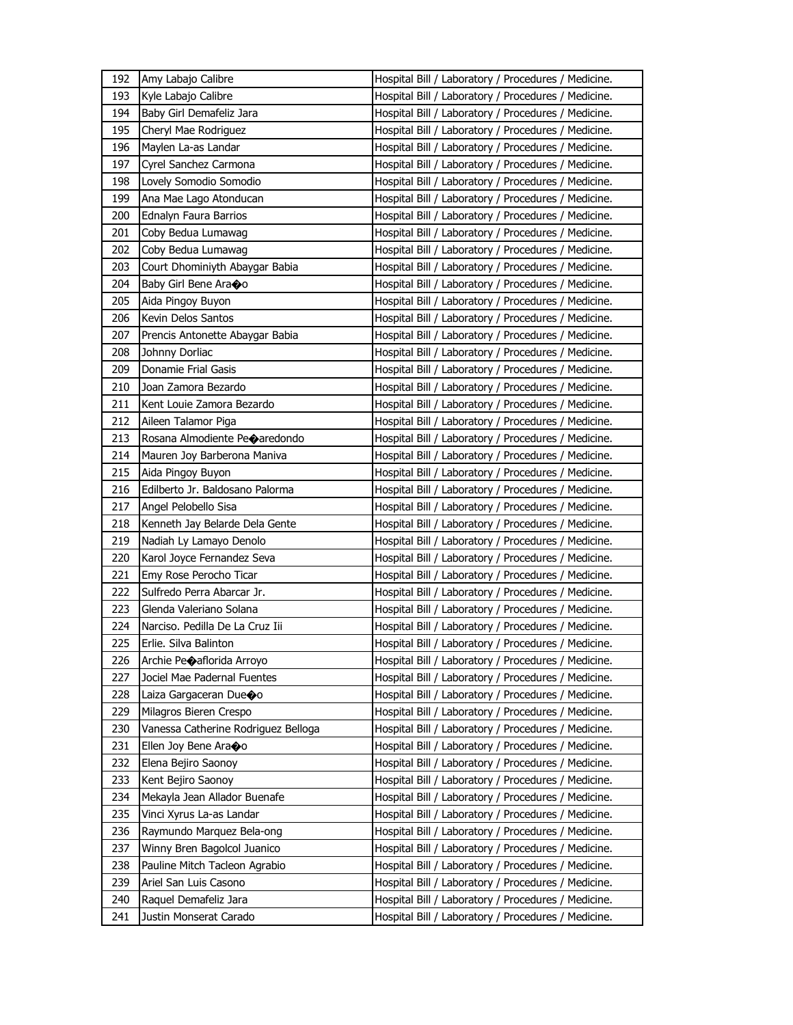| 192 | Amy Labajo Calibre                  | Hospital Bill / Laboratory / Procedures / Medicine. |
|-----|-------------------------------------|-----------------------------------------------------|
| 193 | Kyle Labajo Calibre                 | Hospital Bill / Laboratory / Procedures / Medicine. |
| 194 | Baby Girl Demafeliz Jara            | Hospital Bill / Laboratory / Procedures / Medicine. |
| 195 | Cheryl Mae Rodriguez                | Hospital Bill / Laboratory / Procedures / Medicine. |
| 196 | Maylen La-as Landar                 | Hospital Bill / Laboratory / Procedures / Medicine. |
| 197 | Cyrel Sanchez Carmona               | Hospital Bill / Laboratory / Procedures / Medicine. |
| 198 | Lovely Somodio Somodio              | Hospital Bill / Laboratory / Procedures / Medicine. |
| 199 | Ana Mae Lago Atonducan              | Hospital Bill / Laboratory / Procedures / Medicine. |
| 200 | Ednalyn Faura Barrios               | Hospital Bill / Laboratory / Procedures / Medicine. |
| 201 | Coby Bedua Lumawag                  | Hospital Bill / Laboratory / Procedures / Medicine. |
| 202 | Coby Bedua Lumawag                  | Hospital Bill / Laboratory / Procedures / Medicine. |
| 203 | Court Dhominiyth Abaygar Babia      | Hospital Bill / Laboratory / Procedures / Medicine. |
| 204 | Baby Girl Bene Ara�o                | Hospital Bill / Laboratory / Procedures / Medicine. |
| 205 | Aida Pingoy Buyon                   | Hospital Bill / Laboratory / Procedures / Medicine. |
| 206 | Kevin Delos Santos                  | Hospital Bill / Laboratory / Procedures / Medicine. |
| 207 | Prencis Antonette Abaygar Babia     | Hospital Bill / Laboratory / Procedures / Medicine. |
| 208 | Johnny Dorliac                      | Hospital Bill / Laboratory / Procedures / Medicine. |
| 209 | Donamie Frial Gasis                 | Hospital Bill / Laboratory / Procedures / Medicine. |
| 210 | Joan Zamora Bezardo                 | Hospital Bill / Laboratory / Procedures / Medicine. |
| 211 | Kent Louie Zamora Bezardo           | Hospital Bill / Laboratory / Procedures / Medicine. |
| 212 | Aileen Talamor Piga                 | Hospital Bill / Laboratory / Procedures / Medicine. |
| 213 | Rosana Almodiente Peoaredondo       | Hospital Bill / Laboratory / Procedures / Medicine. |
| 214 | Mauren Joy Barberona Maniva         | Hospital Bill / Laboratory / Procedures / Medicine. |
| 215 | Aida Pingoy Buyon                   | Hospital Bill / Laboratory / Procedures / Medicine. |
| 216 | Edilberto Jr. Baldosano Palorma     | Hospital Bill / Laboratory / Procedures / Medicine. |
| 217 | Angel Pelobello Sisa                | Hospital Bill / Laboratory / Procedures / Medicine. |
| 218 | Kenneth Jay Belarde Dela Gente      | Hospital Bill / Laboratory / Procedures / Medicine. |
| 219 | Nadiah Ly Lamayo Denolo             | Hospital Bill / Laboratory / Procedures / Medicine. |
| 220 | Karol Joyce Fernandez Seva          | Hospital Bill / Laboratory / Procedures / Medicine. |
| 221 | Emy Rose Perocho Ticar              | Hospital Bill / Laboratory / Procedures / Medicine. |
| 222 | Sulfredo Perra Abarcar Jr.          | Hospital Bill / Laboratory / Procedures / Medicine. |
| 223 | Glenda Valeriano Solana             | Hospital Bill / Laboratory / Procedures / Medicine. |
| 224 | Narciso. Pedilla De La Cruz Iii     | Hospital Bill / Laboratory / Procedures / Medicine. |
| 225 | Erlie. Silva Balinton               | Hospital Bill / Laboratory / Procedures / Medicine. |
| 226 | Archie Peoaflorida Arroyo           | Hospital Bill / Laboratory / Procedures / Medicine. |
| 227 | Jociel Mae Padernal Fuentes         | Hospital Bill / Laboratory / Procedures / Medicine. |
| 228 | Laiza Gargaceran Due $\bullet$ o    | Hospital Bill / Laboratory / Procedures / Medicine. |
| 229 | Milagros Bieren Crespo              | Hospital Bill / Laboratory / Procedures / Medicine. |
| 230 | Vanessa Catherine Rodriguez Belloga | Hospital Bill / Laboratory / Procedures / Medicine. |
| 231 | Ellen Joy Bene Ara�o                | Hospital Bill / Laboratory / Procedures / Medicine. |
| 232 | Elena Bejiro Saonoy                 | Hospital Bill / Laboratory / Procedures / Medicine. |
| 233 | Kent Bejiro Saonoy                  | Hospital Bill / Laboratory / Procedures / Medicine. |
| 234 | Mekayla Jean Allador Buenafe        | Hospital Bill / Laboratory / Procedures / Medicine. |
| 235 | Vinci Xyrus La-as Landar            | Hospital Bill / Laboratory / Procedures / Medicine. |
| 236 | Raymundo Marquez Bela-ong           | Hospital Bill / Laboratory / Procedures / Medicine. |
| 237 | Winny Bren Bagolcol Juanico         | Hospital Bill / Laboratory / Procedures / Medicine. |
| 238 | Pauline Mitch Tacleon Agrabio       | Hospital Bill / Laboratory / Procedures / Medicine. |
| 239 | Ariel San Luis Casono               | Hospital Bill / Laboratory / Procedures / Medicine. |
| 240 | Raquel Demafeliz Jara               | Hospital Bill / Laboratory / Procedures / Medicine. |
| 241 | Justin Monserat Carado              | Hospital Bill / Laboratory / Procedures / Medicine. |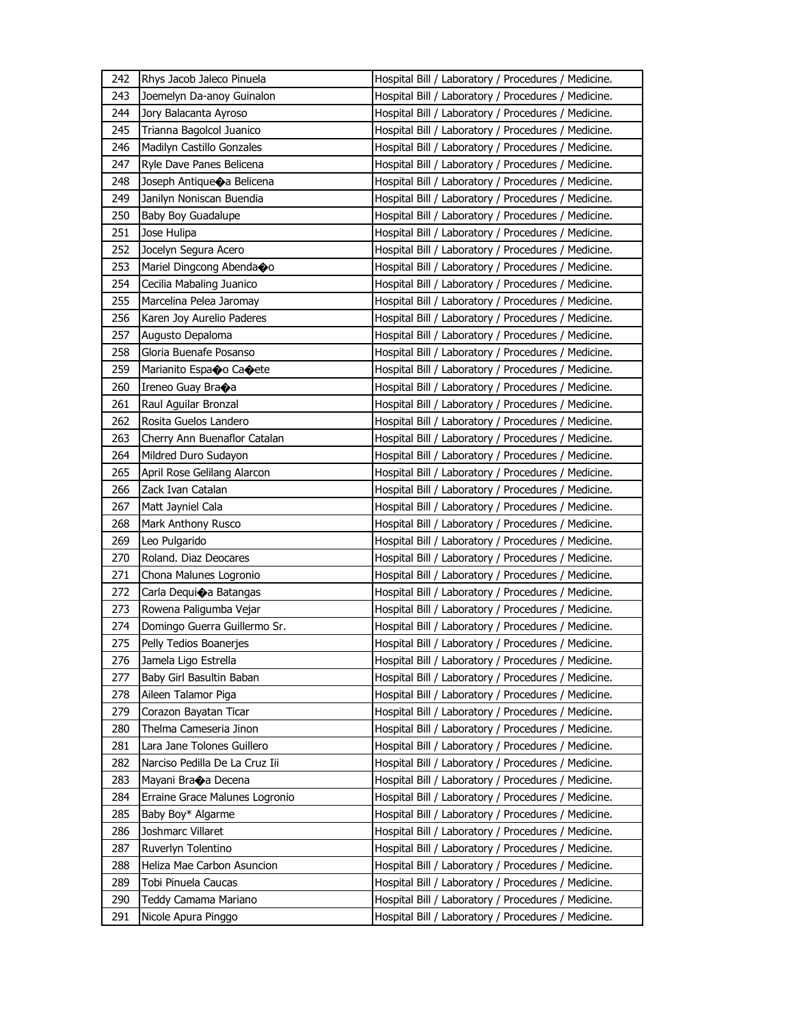| 242 | Rhys Jacob Jaleco Pinuela      | Hospital Bill / Laboratory / Procedures / Medicine. |
|-----|--------------------------------|-----------------------------------------------------|
| 243 | Joemelyn Da-anoy Guinalon      | Hospital Bill / Laboratory / Procedures / Medicine. |
| 244 | Jory Balacanta Ayroso          | Hospital Bill / Laboratory / Procedures / Medicine. |
| 245 | Trianna Bagolcol Juanico       | Hospital Bill / Laboratory / Procedures / Medicine. |
| 246 | Madilyn Castillo Gonzales      | Hospital Bill / Laboratory / Procedures / Medicine. |
| 247 | Ryle Dave Panes Belicena       | Hospital Bill / Laboratory / Procedures / Medicine. |
| 248 | Joseph Antique a Belicena      | Hospital Bill / Laboratory / Procedures / Medicine. |
| 249 | Janilyn Noniscan Buendia       | Hospital Bill / Laboratory / Procedures / Medicine. |
| 250 | Baby Boy Guadalupe             | Hospital Bill / Laboratory / Procedures / Medicine. |
| 251 | Jose Hulipa                    | Hospital Bill / Laboratory / Procedures / Medicine. |
| 252 | Jocelyn Segura Acero           | Hospital Bill / Laboratory / Procedures / Medicine. |
| 253 | Mariel Dingcong Abenda�o       | Hospital Bill / Laboratory / Procedures / Medicine. |
| 254 | Cecilia Mabaling Juanico       | Hospital Bill / Laboratory / Procedures / Medicine. |
| 255 | Marcelina Pelea Jaromay        | Hospital Bill / Laboratory / Procedures / Medicine. |
| 256 | Karen Joy Aurelio Paderes      | Hospital Bill / Laboratory / Procedures / Medicine. |
| 257 | Augusto Depaloma               | Hospital Bill / Laboratory / Procedures / Medicine. |
| 258 | Gloria Buenafe Posanso         | Hospital Bill / Laboratory / Procedures / Medicine. |
| 259 | Marianito Espa�o Ca�ete        | Hospital Bill / Laboratory / Procedures / Medicine. |
| 260 | Ireneo Guay Bra�a              | Hospital Bill / Laboratory / Procedures / Medicine. |
| 261 | Raul Aguilar Bronzal           | Hospital Bill / Laboratory / Procedures / Medicine. |
| 262 | Rosita Guelos Landero          | Hospital Bill / Laboratory / Procedures / Medicine. |
| 263 | Cherry Ann Buenaflor Catalan   | Hospital Bill / Laboratory / Procedures / Medicine. |
| 264 | Mildred Duro Sudayon           | Hospital Bill / Laboratory / Procedures / Medicine. |
| 265 | April Rose Gelilang Alarcon    | Hospital Bill / Laboratory / Procedures / Medicine. |
| 266 | Zack Ivan Catalan              | Hospital Bill / Laboratory / Procedures / Medicine. |
| 267 | Matt Jayniel Cala              | Hospital Bill / Laboratory / Procedures / Medicine. |
| 268 | Mark Anthony Rusco             | Hospital Bill / Laboratory / Procedures / Medicine. |
| 269 | Leo Pulgarido                  | Hospital Bill / Laboratory / Procedures / Medicine. |
| 270 | Roland. Diaz Deocares          | Hospital Bill / Laboratory / Procedures / Medicine. |
| 271 | Chona Malunes Logronio         | Hospital Bill / Laboratory / Procedures / Medicine. |
| 272 | Carla Dequi�a Batangas         | Hospital Bill / Laboratory / Procedures / Medicine. |
| 273 | Rowena Paligumba Vejar         | Hospital Bill / Laboratory / Procedures / Medicine. |
| 274 | Domingo Guerra Guillermo Sr.   | Hospital Bill / Laboratory / Procedures / Medicine. |
| 275 | Pelly Tedios Boanerjes         | Hospital Bill / Laboratory / Procedures / Medicine. |
| 276 | Jamela Ligo Estrella           | Hospital Bill / Laboratory / Procedures / Medicine. |
| 277 | Baby Girl Basultin Baban       | Hospital Bill / Laboratory / Procedures / Medicine. |
| 278 | Aileen Talamor Piga            | Hospital Bill / Laboratory / Procedures / Medicine. |
| 279 | Corazon Bayatan Ticar          | Hospital Bill / Laboratory / Procedures / Medicine. |
| 280 | Thelma Cameseria Jinon         | Hospital Bill / Laboratory / Procedures / Medicine. |
| 281 | Lara Jane Tolones Guillero     | Hospital Bill / Laboratory / Procedures / Medicine. |
| 282 | Narciso Pedilla De La Cruz Iii | Hospital Bill / Laboratory / Procedures / Medicine. |
| 283 | Mayani Bra�a Decena            | Hospital Bill / Laboratory / Procedures / Medicine. |
| 284 | Erraine Grace Malunes Logronio | Hospital Bill / Laboratory / Procedures / Medicine. |
| 285 | Baby Boy* Algarme              | Hospital Bill / Laboratory / Procedures / Medicine. |
| 286 | Joshmarc Villaret              | Hospital Bill / Laboratory / Procedures / Medicine. |
| 287 | Ruverlyn Tolentino             | Hospital Bill / Laboratory / Procedures / Medicine. |
| 288 | Heliza Mae Carbon Asuncion     | Hospital Bill / Laboratory / Procedures / Medicine. |
| 289 | Tobi Pinuela Caucas            | Hospital Bill / Laboratory / Procedures / Medicine. |
| 290 | Teddy Camama Mariano           | Hospital Bill / Laboratory / Procedures / Medicine. |
| 291 | Nicole Apura Pinggo            | Hospital Bill / Laboratory / Procedures / Medicine. |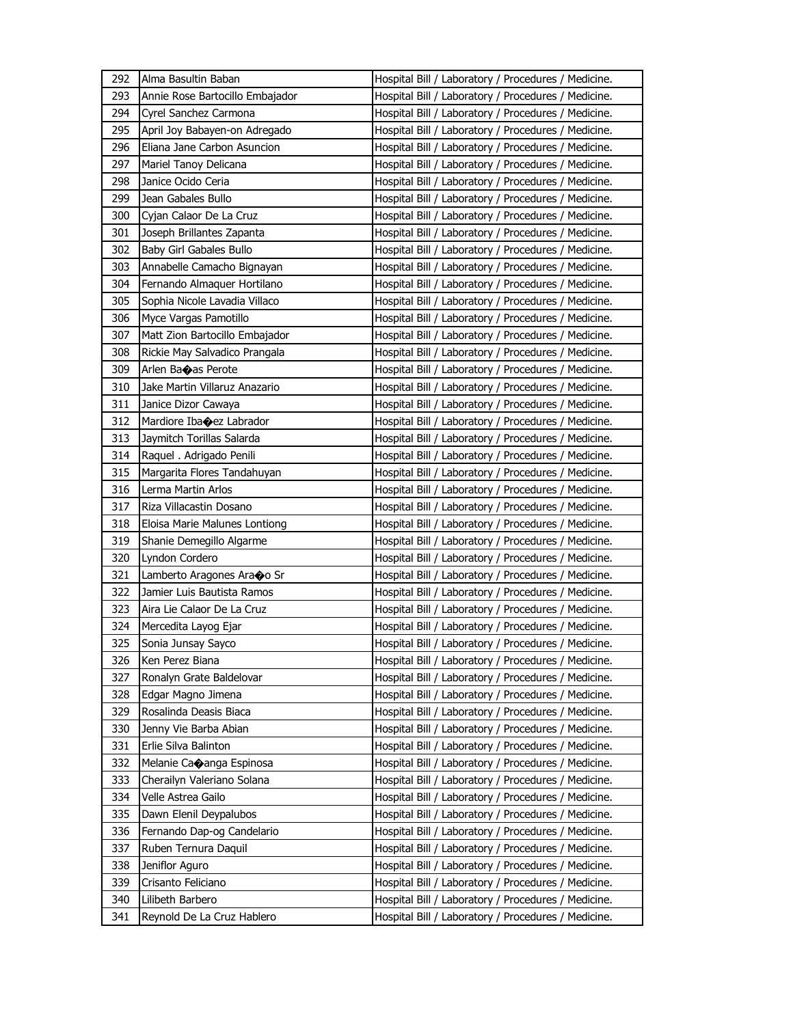| 292 | Alma Basultin Baban             | Hospital Bill / Laboratory / Procedures / Medicine. |
|-----|---------------------------------|-----------------------------------------------------|
| 293 | Annie Rose Bartocillo Embajador | Hospital Bill / Laboratory / Procedures / Medicine. |
| 294 | Cyrel Sanchez Carmona           | Hospital Bill / Laboratory / Procedures / Medicine. |
| 295 | April Joy Babayen-on Adregado   | Hospital Bill / Laboratory / Procedures / Medicine. |
| 296 | Eliana Jane Carbon Asuncion     | Hospital Bill / Laboratory / Procedures / Medicine. |
| 297 | Mariel Tanoy Delicana           | Hospital Bill / Laboratory / Procedures / Medicine. |
| 298 | Janice Ocido Ceria              | Hospital Bill / Laboratory / Procedures / Medicine. |
| 299 | Jean Gabales Bullo              | Hospital Bill / Laboratory / Procedures / Medicine. |
| 300 | Cyjan Calaor De La Cruz         | Hospital Bill / Laboratory / Procedures / Medicine. |
| 301 | Joseph Brillantes Zapanta       | Hospital Bill / Laboratory / Procedures / Medicine. |
| 302 | Baby Girl Gabales Bullo         | Hospital Bill / Laboratory / Procedures / Medicine. |
| 303 | Annabelle Camacho Bignayan      | Hospital Bill / Laboratory / Procedures / Medicine. |
| 304 | Fernando Almaquer Hortilano     | Hospital Bill / Laboratory / Procedures / Medicine. |
| 305 | Sophia Nicole Lavadia Villaco   | Hospital Bill / Laboratory / Procedures / Medicine. |
| 306 | Myce Vargas Pamotillo           | Hospital Bill / Laboratory / Procedures / Medicine. |
| 307 | Matt Zion Bartocillo Embajador  | Hospital Bill / Laboratory / Procedures / Medicine. |
| 308 | Rickie May Salvadico Prangala   | Hospital Bill / Laboratory / Procedures / Medicine. |
| 309 | Arlen Baoas Perote              | Hospital Bill / Laboratory / Procedures / Medicine. |
| 310 | Jake Martin Villaruz Anazario   | Hospital Bill / Laboratory / Procedures / Medicine. |
| 311 | Janice Dizor Cawaya             | Hospital Bill / Laboratory / Procedures / Medicine. |
| 312 | Mardiore Ibaoez Labrador        | Hospital Bill / Laboratory / Procedures / Medicine. |
| 313 | Jaymitch Torillas Salarda       | Hospital Bill / Laboratory / Procedures / Medicine. |
| 314 | Raquel . Adrigado Penili        | Hospital Bill / Laboratory / Procedures / Medicine. |
| 315 | Margarita Flores Tandahuyan     | Hospital Bill / Laboratory / Procedures / Medicine. |
| 316 | Lerma Martin Arlos              | Hospital Bill / Laboratory / Procedures / Medicine. |
| 317 | Riza Villacastin Dosano         | Hospital Bill / Laboratory / Procedures / Medicine. |
| 318 | Eloisa Marie Malunes Lontiong   | Hospital Bill / Laboratory / Procedures / Medicine. |
| 319 | Shanie Demegillo Algarme        | Hospital Bill / Laboratory / Procedures / Medicine. |
| 320 | Lyndon Cordero                  | Hospital Bill / Laboratory / Procedures / Medicine. |
| 321 | Lamberto Aragones Ara�o Sr      | Hospital Bill / Laboratory / Procedures / Medicine. |
| 322 | Jamier Luis Bautista Ramos      | Hospital Bill / Laboratory / Procedures / Medicine. |
| 323 | Aira Lie Calaor De La Cruz      | Hospital Bill / Laboratory / Procedures / Medicine. |
| 324 | Mercedita Layog Ejar            | Hospital Bill / Laboratory / Procedures / Medicine. |
| 325 | Sonia Junsay Sayco              | Hospital Bill / Laboratory / Procedures / Medicine. |
| 326 | Ken Perez Biana                 | Hospital Bill / Laboratory / Procedures / Medicine. |
| 327 | Ronalyn Grate Baldelovar        | Hospital Bill / Laboratory / Procedures / Medicine. |
| 328 | Edgar Magno Jimena              | Hospital Bill / Laboratory / Procedures / Medicine. |
| 329 | Rosalinda Deasis Biaca          | Hospital Bill / Laboratory / Procedures / Medicine. |
| 330 | Jenny Vie Barba Abian           | Hospital Bill / Laboratory / Procedures / Medicine. |
| 331 | Erlie Silva Balinton            | Hospital Bill / Laboratory / Procedures / Medicine. |
| 332 | Melanie Ca�anga Espinosa        | Hospital Bill / Laboratory / Procedures / Medicine. |
| 333 | Cherailyn Valeriano Solana      | Hospital Bill / Laboratory / Procedures / Medicine. |
| 334 | Velle Astrea Gailo              | Hospital Bill / Laboratory / Procedures / Medicine. |
| 335 | Dawn Elenil Deypalubos          | Hospital Bill / Laboratory / Procedures / Medicine. |
| 336 | Fernando Dap-og Candelario      | Hospital Bill / Laboratory / Procedures / Medicine. |
| 337 | Ruben Ternura Daquil            | Hospital Bill / Laboratory / Procedures / Medicine. |
| 338 | Jeniflor Aguro                  | Hospital Bill / Laboratory / Procedures / Medicine. |
| 339 | Crisanto Feliciano              | Hospital Bill / Laboratory / Procedures / Medicine. |
| 340 | Lilibeth Barbero                | Hospital Bill / Laboratory / Procedures / Medicine. |
| 341 | Reynold De La Cruz Hablero      | Hospital Bill / Laboratory / Procedures / Medicine. |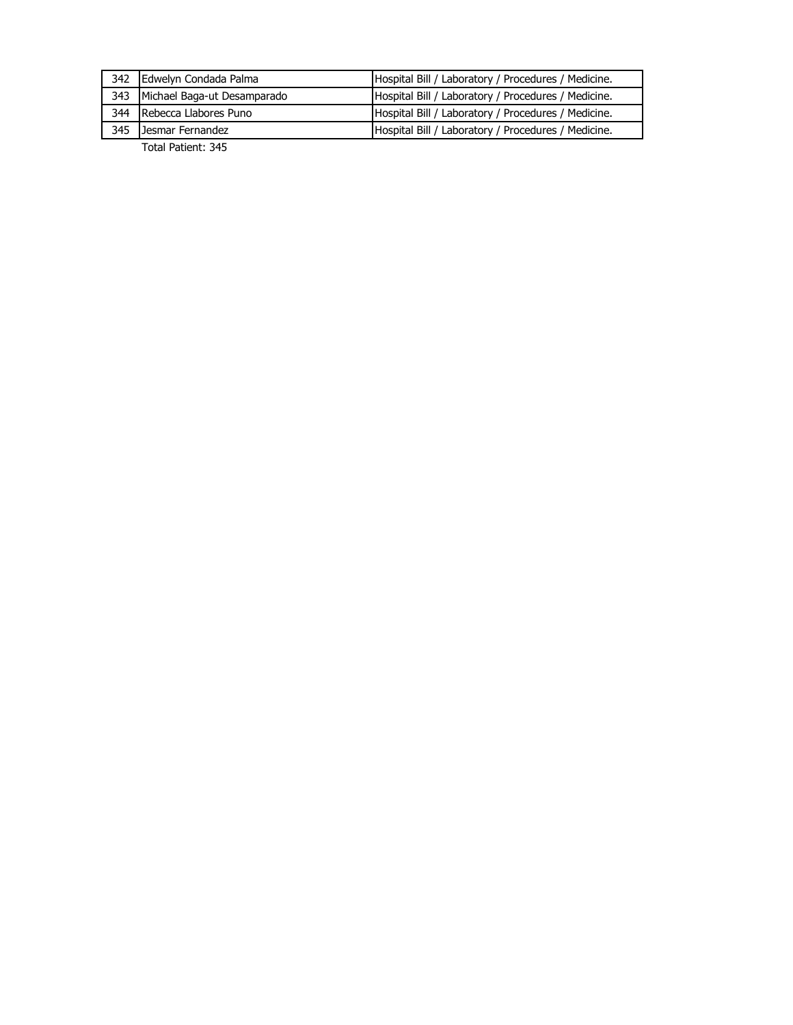| 342 Edwelyn Condada Palma       | Hospital Bill / Laboratory / Procedures / Medicine. |
|---------------------------------|-----------------------------------------------------|
| 343 Michael Baga-ut Desamparado | Hospital Bill / Laboratory / Procedures / Medicine. |
| 344 Rebecca Llabores Puno       | Hospital Bill / Laboratory / Procedures / Medicine. |
| 345 Jesmar Fernandez            | Hospital Bill / Laboratory / Procedures / Medicine. |
|                                 |                                                     |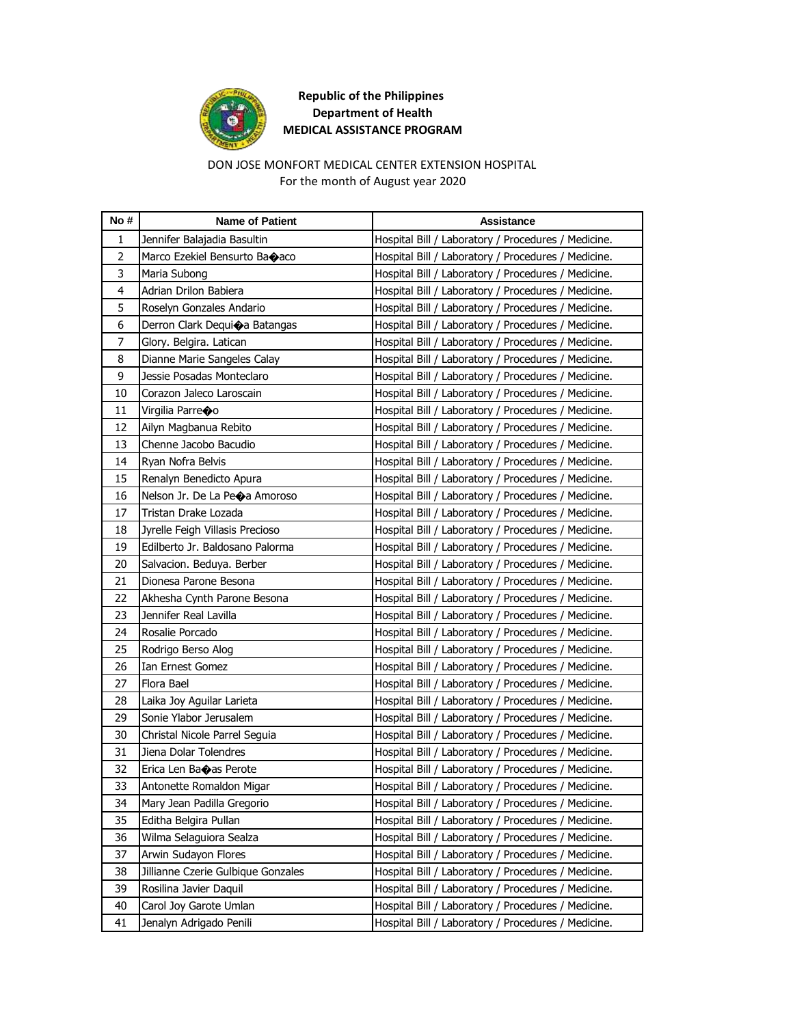

### DON JOSE MONFORT MEDICAL CENTER EXTENSION HOSPITAL For the month of August year 2020

| No #           | <b>Name of Patient</b>             | Assistance                                          |
|----------------|------------------------------------|-----------------------------------------------------|
| 1              | Jennifer Balajadia Basultin        | Hospital Bill / Laboratory / Procedures / Medicine. |
| $\overline{2}$ | Marco Ezekiel Bensurto Baoaco      | Hospital Bill / Laboratory / Procedures / Medicine. |
| 3              | Maria Subong                       | Hospital Bill / Laboratory / Procedures / Medicine. |
| 4              | Adrian Drilon Babiera              | Hospital Bill / Laboratory / Procedures / Medicine. |
| 5              | Roselyn Gonzales Andario           | Hospital Bill / Laboratory / Procedures / Medicine. |
| 6              | Derron Clark Dequica Batangas      | Hospital Bill / Laboratory / Procedures / Medicine. |
| $\overline{7}$ | Glory. Belgira. Latican            | Hospital Bill / Laboratory / Procedures / Medicine. |
| 8              | Dianne Marie Sangeles Calay        | Hospital Bill / Laboratory / Procedures / Medicine. |
| 9              | Jessie Posadas Monteclaro          | Hospital Bill / Laboratory / Procedures / Medicine. |
| 10             | Corazon Jaleco Laroscain           | Hospital Bill / Laboratory / Procedures / Medicine. |
| 11             | Virgilia Parreoo                   | Hospital Bill / Laboratory / Procedures / Medicine. |
| 12             | Ailyn Magbanua Rebito              | Hospital Bill / Laboratory / Procedures / Medicine. |
| 13             | Chenne Jacobo Bacudio              | Hospital Bill / Laboratory / Procedures / Medicine. |
| 14             | Ryan Nofra Belvis                  | Hospital Bill / Laboratory / Procedures / Medicine. |
| 15             | Renalyn Benedicto Apura            | Hospital Bill / Laboratory / Procedures / Medicine. |
| 16             | Nelson Jr. De La Peoa Amoroso      | Hospital Bill / Laboratory / Procedures / Medicine. |
| 17             | Tristan Drake Lozada               | Hospital Bill / Laboratory / Procedures / Medicine. |
| 18             | Jyrelle Feigh Villasis Precioso    | Hospital Bill / Laboratory / Procedures / Medicine. |
| 19             | Edilberto Jr. Baldosano Palorma    | Hospital Bill / Laboratory / Procedures / Medicine. |
| 20             | Salvacion. Beduya. Berber          | Hospital Bill / Laboratory / Procedures / Medicine. |
| 21             | Dionesa Parone Besona              | Hospital Bill / Laboratory / Procedures / Medicine. |
| 22             | Akhesha Cynth Parone Besona        | Hospital Bill / Laboratory / Procedures / Medicine. |
| 23             | Jennifer Real Lavilla              | Hospital Bill / Laboratory / Procedures / Medicine. |
| 24             | Rosalie Porcado                    | Hospital Bill / Laboratory / Procedures / Medicine. |
| 25             | Rodrigo Berso Alog                 | Hospital Bill / Laboratory / Procedures / Medicine. |
| 26             | Ian Ernest Gomez                   | Hospital Bill / Laboratory / Procedures / Medicine. |
| 27             | Flora Bael                         | Hospital Bill / Laboratory / Procedures / Medicine. |
| 28             | Laika Joy Aguilar Larieta          | Hospital Bill / Laboratory / Procedures / Medicine. |
| 29             | Sonie Ylabor Jerusalem             | Hospital Bill / Laboratory / Procedures / Medicine. |
| 30             | Christal Nicole Parrel Seguia      | Hospital Bill / Laboratory / Procedures / Medicine. |
| 31             | Jiena Dolar Tolendres              | Hospital Bill / Laboratory / Procedures / Medicine. |
| 32             | Erica Len Baoas Perote             | Hospital Bill / Laboratory / Procedures / Medicine. |
| 33             | Antonette Romaldon Migar           | Hospital Bill / Laboratory / Procedures / Medicine. |
| 34             | Mary Jean Padilla Gregorio         | Hospital Bill / Laboratory / Procedures / Medicine. |
| 35             | Editha Belgira Pullan              | Hospital Bill / Laboratory / Procedures / Medicine. |
| 36             | Wilma Selaguiora Sealza            | Hospital Bill / Laboratory / Procedures / Medicine. |
| 37             | Arwin Sudayon Flores               | Hospital Bill / Laboratory / Procedures / Medicine. |
| 38             | Jillianne Czerie Gulbique Gonzales | Hospital Bill / Laboratory / Procedures / Medicine. |
| 39             | Rosilina Javier Daquil             | Hospital Bill / Laboratory / Procedures / Medicine. |
| 40             | Carol Joy Garote Umlan             | Hospital Bill / Laboratory / Procedures / Medicine. |
| 41             | Jenalyn Adrigado Penili            | Hospital Bill / Laboratory / Procedures / Medicine. |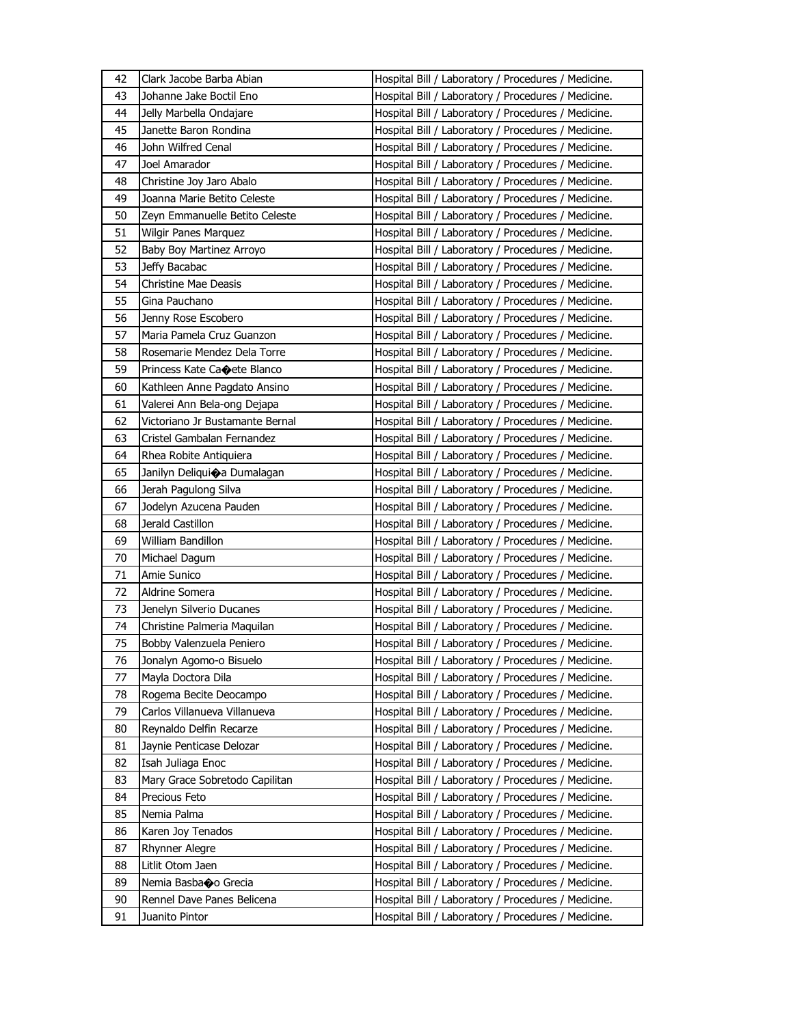| 42 | Clark Jacobe Barba Abian        | Hospital Bill / Laboratory / Procedures / Medicine. |
|----|---------------------------------|-----------------------------------------------------|
| 43 | Johanne Jake Boctil Eno         | Hospital Bill / Laboratory / Procedures / Medicine. |
| 44 | Jelly Marbella Ondajare         | Hospital Bill / Laboratory / Procedures / Medicine. |
| 45 | Janette Baron Rondina           | Hospital Bill / Laboratory / Procedures / Medicine. |
| 46 | John Wilfred Cenal              | Hospital Bill / Laboratory / Procedures / Medicine. |
| 47 | Joel Amarador                   | Hospital Bill / Laboratory / Procedures / Medicine. |
| 48 | Christine Joy Jaro Abalo        | Hospital Bill / Laboratory / Procedures / Medicine. |
| 49 | Joanna Marie Betito Celeste     | Hospital Bill / Laboratory / Procedures / Medicine. |
| 50 | Zeyn Emmanuelle Betito Celeste  | Hospital Bill / Laboratory / Procedures / Medicine. |
| 51 | Wilgir Panes Marquez            | Hospital Bill / Laboratory / Procedures / Medicine. |
| 52 | Baby Boy Martinez Arroyo        | Hospital Bill / Laboratory / Procedures / Medicine. |
| 53 | Jeffy Bacabac                   | Hospital Bill / Laboratory / Procedures / Medicine. |
| 54 | Christine Mae Deasis            | Hospital Bill / Laboratory / Procedures / Medicine. |
| 55 | Gina Pauchano                   | Hospital Bill / Laboratory / Procedures / Medicine. |
| 56 | Jenny Rose Escobero             | Hospital Bill / Laboratory / Procedures / Medicine. |
| 57 | Maria Pamela Cruz Guanzon       | Hospital Bill / Laboratory / Procedures / Medicine. |
| 58 | Rosemarie Mendez Dela Torre     | Hospital Bill / Laboratory / Procedures / Medicine. |
| 59 | Princess Kate Ca⊕ete Blanco     | Hospital Bill / Laboratory / Procedures / Medicine. |
| 60 | Kathleen Anne Pagdato Ansino    | Hospital Bill / Laboratory / Procedures / Medicine. |
| 61 | Valerei Ann Bela-ong Dejapa     | Hospital Bill / Laboratory / Procedures / Medicine. |
| 62 | Victoriano Jr Bustamante Bernal | Hospital Bill / Laboratory / Procedures / Medicine. |
| 63 | Cristel Gambalan Fernandez      | Hospital Bill / Laboratory / Procedures / Medicine. |
| 64 | Rhea Robite Antiquiera          | Hospital Bill / Laboratory / Procedures / Medicine. |
| 65 | Janilyn Deliquioa Dumalagan     |                                                     |
|    |                                 | Hospital Bill / Laboratory / Procedures / Medicine. |
| 66 | Jerah Pagulong Silva            | Hospital Bill / Laboratory / Procedures / Medicine. |
|    |                                 |                                                     |
| 67 | Jodelyn Azucena Pauden          | Hospital Bill / Laboratory / Procedures / Medicine. |
| 68 | Jerald Castillon                | Hospital Bill / Laboratory / Procedures / Medicine. |
| 69 | William Bandillon               | Hospital Bill / Laboratory / Procedures / Medicine. |
| 70 | Michael Dagum                   | Hospital Bill / Laboratory / Procedures / Medicine. |
| 71 | Amie Sunico                     | Hospital Bill / Laboratory / Procedures / Medicine. |
| 72 | Aldrine Somera                  | Hospital Bill / Laboratory / Procedures / Medicine. |
| 73 | Jenelyn Silverio Ducanes        | Hospital Bill / Laboratory / Procedures / Medicine. |
| 74 | Christine Palmeria Maquilan     | Hospital Bill / Laboratory / Procedures / Medicine. |
| 75 | Bobby Valenzuela Peniero        | Hospital Bill / Laboratory / Procedures / Medicine. |
| 76 | Jonalyn Agomo-o Bisuelo         | Hospital Bill / Laboratory / Procedures / Medicine. |
| 77 | Mayla Doctora Dila              | Hospital Bill / Laboratory / Procedures / Medicine. |
| 78 | Rogema Becite Deocampo          | Hospital Bill / Laboratory / Procedures / Medicine. |
| 79 | Carlos Villanueva Villanueva    | Hospital Bill / Laboratory / Procedures / Medicine. |
| 80 | Reynaldo Delfin Recarze         | Hospital Bill / Laboratory / Procedures / Medicine. |
| 81 | Jaynie Penticase Delozar        | Hospital Bill / Laboratory / Procedures / Medicine. |
| 82 | Isah Juliaga Enoc               | Hospital Bill / Laboratory / Procedures / Medicine. |
| 83 | Mary Grace Sobretodo Capilitan  | Hospital Bill / Laboratory / Procedures / Medicine. |
| 84 | Precious Feto                   | Hospital Bill / Laboratory / Procedures / Medicine. |
| 85 | Nemia Palma                     | Hospital Bill / Laboratory / Procedures / Medicine. |
| 86 | Karen Joy Tenados               | Hospital Bill / Laboratory / Procedures / Medicine. |
| 87 | Rhynner Alegre                  | Hospital Bill / Laboratory / Procedures / Medicine. |
| 88 | Litlit Otom Jaen                | Hospital Bill / Laboratory / Procedures / Medicine. |
| 89 | Nemia Basbao Grecia             | Hospital Bill / Laboratory / Procedures / Medicine. |
| 90 | Rennel Dave Panes Belicena      | Hospital Bill / Laboratory / Procedures / Medicine. |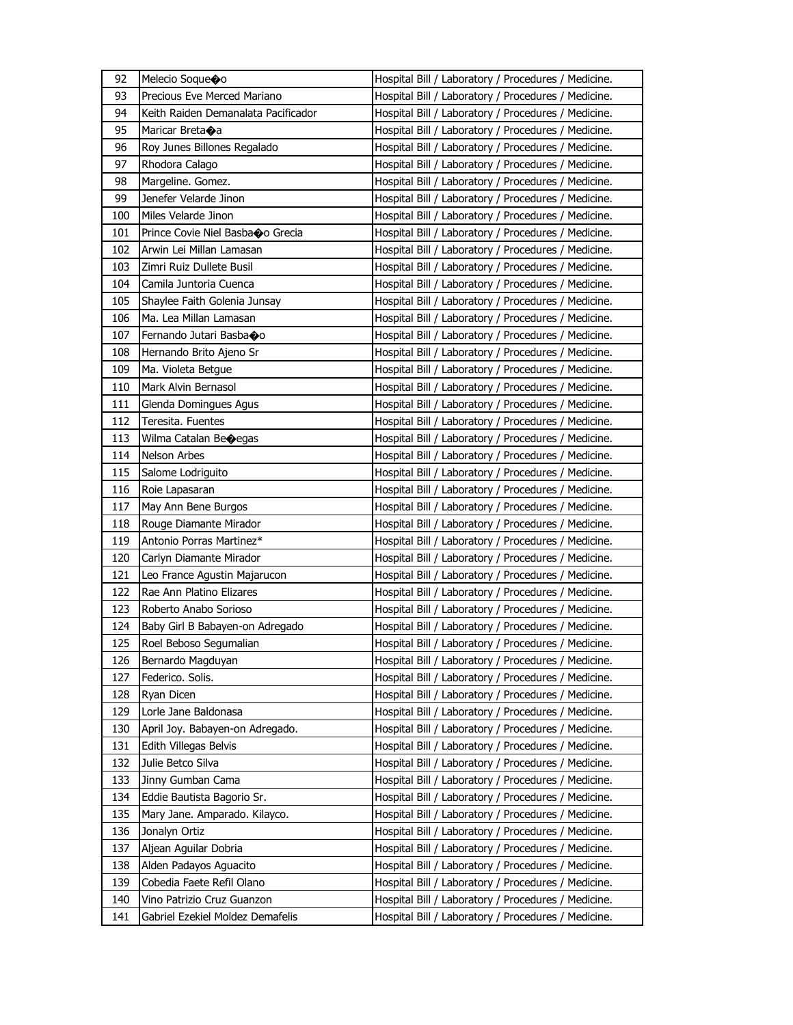| 92  | Melecio Soque�o                     | Hospital Bill / Laboratory / Procedures / Medicine. |
|-----|-------------------------------------|-----------------------------------------------------|
| 93  | Precious Eve Merced Mariano         | Hospital Bill / Laboratory / Procedures / Medicine. |
| 94  | Keith Raiden Demanalata Pacificador | Hospital Bill / Laboratory / Procedures / Medicine. |
| 95  | Maricar Breta�a                     | Hospital Bill / Laboratory / Procedures / Medicine. |
| 96  | Roy Junes Billones Regalado         | Hospital Bill / Laboratory / Procedures / Medicine. |
| 97  | Rhodora Calago                      | Hospital Bill / Laboratory / Procedures / Medicine. |
| 98  | Margeline. Gomez.                   | Hospital Bill / Laboratory / Procedures / Medicine. |
| 99  | Jenefer Velarde Jinon               | Hospital Bill / Laboratory / Procedures / Medicine. |
| 100 | Miles Velarde Jinon                 | Hospital Bill / Laboratory / Procedures / Medicine. |
| 101 | Prince Covie Niel Basbao Grecia     | Hospital Bill / Laboratory / Procedures / Medicine. |
| 102 | Arwin Lei Millan Lamasan            | Hospital Bill / Laboratory / Procedures / Medicine. |
| 103 | Zimri Ruiz Dullete Busil            | Hospital Bill / Laboratory / Procedures / Medicine. |
| 104 | Camila Juntoria Cuenca              | Hospital Bill / Laboratory / Procedures / Medicine. |
| 105 | Shaylee Faith Golenia Junsay        | Hospital Bill / Laboratory / Procedures / Medicine. |
| 106 | Ma. Lea Millan Lamasan              | Hospital Bill / Laboratory / Procedures / Medicine. |
| 107 | Fernando Jutari Basbaoo             | Hospital Bill / Laboratory / Procedures / Medicine. |
| 108 | Hernando Brito Ajeno Sr             | Hospital Bill / Laboratory / Procedures / Medicine. |
| 109 | Ma. Violeta Betgue                  | Hospital Bill / Laboratory / Procedures / Medicine. |
| 110 | Mark Alvin Bernasol                 | Hospital Bill / Laboratory / Procedures / Medicine. |
| 111 | Glenda Domingues Agus               | Hospital Bill / Laboratory / Procedures / Medicine. |
| 112 | Teresita. Fuentes                   | Hospital Bill / Laboratory / Procedures / Medicine. |
| 113 | Wilma Catalan Becegas               | Hospital Bill / Laboratory / Procedures / Medicine. |
| 114 | Nelson Arbes                        |                                                     |
|     |                                     | Hospital Bill / Laboratory / Procedures / Medicine. |
| 115 | Salome Lodriguito                   | Hospital Bill / Laboratory / Procedures / Medicine. |
| 116 | Roie Lapasaran                      | Hospital Bill / Laboratory / Procedures / Medicine. |
| 117 | May Ann Bene Burgos                 | Hospital Bill / Laboratory / Procedures / Medicine. |
| 118 | Rouge Diamante Mirador              | Hospital Bill / Laboratory / Procedures / Medicine. |
| 119 | Antonio Porras Martinez*            | Hospital Bill / Laboratory / Procedures / Medicine. |
| 120 | Carlyn Diamante Mirador             | Hospital Bill / Laboratory / Procedures / Medicine. |
| 121 | Leo France Agustin Majarucon        | Hospital Bill / Laboratory / Procedures / Medicine. |
| 122 | Rae Ann Platino Elizares            | Hospital Bill / Laboratory / Procedures / Medicine. |
| 123 | Roberto Anabo Sorioso               | Hospital Bill / Laboratory / Procedures / Medicine. |
| 124 | Baby Girl B Babayen-on Adregado     | Hospital Bill / Laboratory / Procedures / Medicine. |
| 125 | Roel Beboso Segumalian              | Hospital Bill / Laboratory / Procedures / Medicine. |
| 126 | Bernardo Magduyan                   | Hospital Bill / Laboratory / Procedures / Medicine. |
| 127 | Federico. Solis.                    | Hospital Bill / Laboratory / Procedures / Medicine. |
| 128 | Ryan Dicen                          | Hospital Bill / Laboratory / Procedures / Medicine. |
| 129 | Lorle Jane Baldonasa                | Hospital Bill / Laboratory / Procedures / Medicine. |
| 130 | April Joy. Babayen-on Adregado.     | Hospital Bill / Laboratory / Procedures / Medicine. |
| 131 | Edith Villegas Belvis               | Hospital Bill / Laboratory / Procedures / Medicine. |
| 132 | Julie Betco Silva                   | Hospital Bill / Laboratory / Procedures / Medicine. |
| 133 | Jinny Gumban Cama                   | Hospital Bill / Laboratory / Procedures / Medicine. |
| 134 | Eddie Bautista Bagorio Sr.          | Hospital Bill / Laboratory / Procedures / Medicine. |
| 135 | Mary Jane. Amparado. Kilayco.       | Hospital Bill / Laboratory / Procedures / Medicine. |
| 136 | Jonalyn Ortiz                       | Hospital Bill / Laboratory / Procedures / Medicine. |
| 137 | Aljean Aguilar Dobria               | Hospital Bill / Laboratory / Procedures / Medicine. |
| 138 | Alden Padayos Aguacito              | Hospital Bill / Laboratory / Procedures / Medicine. |
| 139 | Cobedia Faete Refil Olano           | Hospital Bill / Laboratory / Procedures / Medicine. |
| 140 | Vino Patrizio Cruz Guanzon          | Hospital Bill / Laboratory / Procedures / Medicine. |
| 141 | Gabriel Ezekiel Moldez Demafelis    | Hospital Bill / Laboratory / Procedures / Medicine. |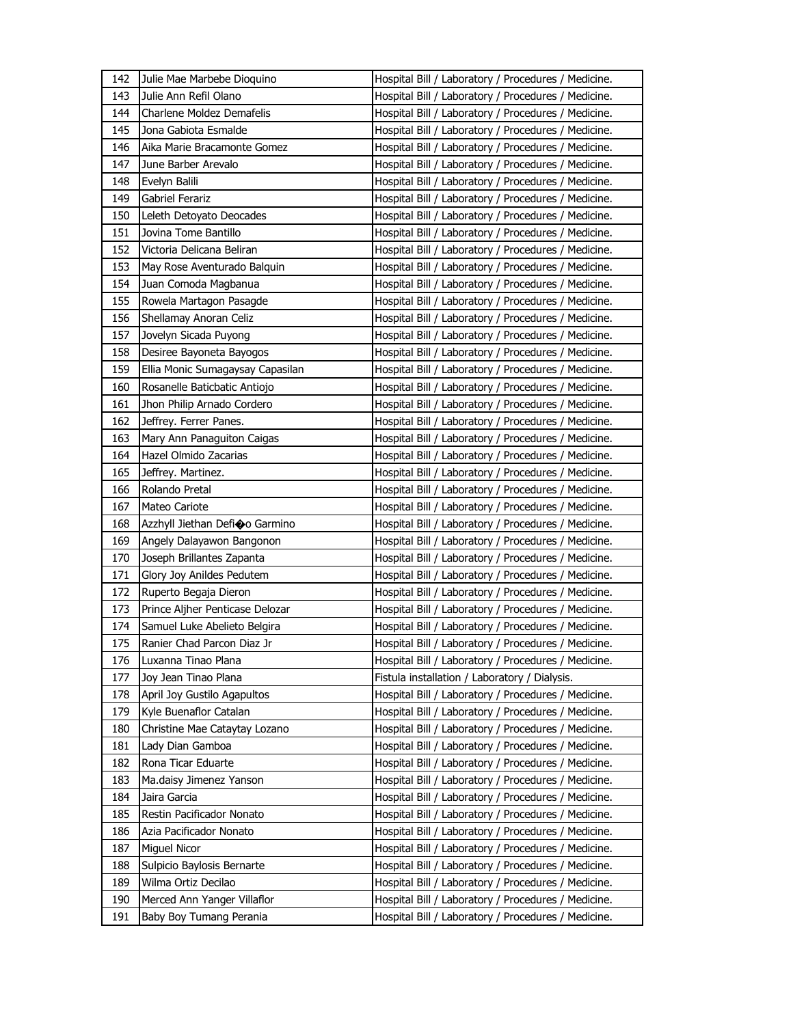| 142        | Julie Mae Marbebe Dioquino                             | Hospital Bill / Laboratory / Procedures / Medicine.                                                        |
|------------|--------------------------------------------------------|------------------------------------------------------------------------------------------------------------|
| 143        | Julie Ann Refil Olano                                  | Hospital Bill / Laboratory / Procedures / Medicine.                                                        |
| 144        | Charlene Moldez Demafelis                              | Hospital Bill / Laboratory / Procedures / Medicine.                                                        |
| 145        | Jona Gabiota Esmalde                                   | Hospital Bill / Laboratory / Procedures / Medicine.                                                        |
| 146        | Aika Marie Bracamonte Gomez                            | Hospital Bill / Laboratory / Procedures / Medicine.                                                        |
| 147        | June Barber Arevalo                                    | Hospital Bill / Laboratory / Procedures / Medicine.                                                        |
| 148        | Evelyn Balili                                          | Hospital Bill / Laboratory / Procedures / Medicine.                                                        |
| 149        | Gabriel Ferariz                                        | Hospital Bill / Laboratory / Procedures / Medicine.                                                        |
| 150        | Leleth Detoyato Deocades                               | Hospital Bill / Laboratory / Procedures / Medicine.                                                        |
| 151        | Jovina Tome Bantillo                                   | Hospital Bill / Laboratory / Procedures / Medicine.                                                        |
| 152        | Victoria Delicana Beliran                              | Hospital Bill / Laboratory / Procedures / Medicine.                                                        |
| 153        | May Rose Aventurado Balguin                            | Hospital Bill / Laboratory / Procedures / Medicine.                                                        |
| 154        | Juan Comoda Magbanua                                   | Hospital Bill / Laboratory / Procedures / Medicine.                                                        |
| 155        | Rowela Martagon Pasagde                                | Hospital Bill / Laboratory / Procedures / Medicine.                                                        |
| 156        | Shellamay Anoran Celiz                                 | Hospital Bill / Laboratory / Procedures / Medicine.                                                        |
| 157        | Jovelyn Sicada Puyong                                  | Hospital Bill / Laboratory / Procedures / Medicine.                                                        |
| 158        | Desiree Bayoneta Bayogos                               | Hospital Bill / Laboratory / Procedures / Medicine.                                                        |
| 159        | Ellia Monic Sumagaysay Capasilan                       | Hospital Bill / Laboratory / Procedures / Medicine.                                                        |
| 160        | Rosanelle Baticbatic Antiojo                           | Hospital Bill / Laboratory / Procedures / Medicine.                                                        |
| 161        | Jhon Philip Arnado Cordero                             | Hospital Bill / Laboratory / Procedures / Medicine.                                                        |
| 162        | Jeffrey. Ferrer Panes.                                 | Hospital Bill / Laboratory / Procedures / Medicine.                                                        |
| 163        | Mary Ann Panaguiton Caigas                             | Hospital Bill / Laboratory / Procedures / Medicine.                                                        |
| 164        | Hazel Olmido Zacarias                                  | Hospital Bill / Laboratory / Procedures / Medicine.                                                        |
| 165        | Jeffrey. Martinez.                                     | Hospital Bill / Laboratory / Procedures / Medicine.                                                        |
| 166        | Rolando Pretal                                         | Hospital Bill / Laboratory / Procedures / Medicine.                                                        |
|            |                                                        |                                                                                                            |
|            |                                                        |                                                                                                            |
| 167        | Mateo Cariote                                          | Hospital Bill / Laboratory / Procedures / Medicine.                                                        |
| 168        | Azzhyll Jiethan Defi�o Garmino                         | Hospital Bill / Laboratory / Procedures / Medicine.                                                        |
| 169        | Angely Dalayawon Bangonon                              | Hospital Bill / Laboratory / Procedures / Medicine.                                                        |
| 170        | Joseph Brillantes Zapanta                              | Hospital Bill / Laboratory / Procedures / Medicine.                                                        |
| 171        | Glory Joy Anildes Pedutem                              | Hospital Bill / Laboratory / Procedures / Medicine.                                                        |
| 172        | Ruperto Begaja Dieron                                  | Hospital Bill / Laboratory / Procedures / Medicine.                                                        |
| 173        | Prince Aljher Penticase Delozar                        | Hospital Bill / Laboratory / Procedures / Medicine.                                                        |
| 174        | Samuel Luke Abelieto Belgira                           | Hospital Bill / Laboratory / Procedures / Medicine.                                                        |
| 175        | Ranier Chad Parcon Diaz Jr                             | Hospital Bill / Laboratory / Procedures / Medicine.                                                        |
| 176        | Luxanna Tinao Plana                                    | Hospital Bill / Laboratory / Procedures / Medicine.                                                        |
| 177        | Joy Jean Tinao Plana                                   | Fistula installation / Laboratory / Dialysis.                                                              |
| 178        | April Joy Gustilo Agapultos                            | Hospital Bill / Laboratory / Procedures / Medicine.                                                        |
| 179        | Kyle Buenaflor Catalan                                 | Hospital Bill / Laboratory / Procedures / Medicine.                                                        |
| 180        | Christine Mae Cataytay Lozano                          | Hospital Bill / Laboratory / Procedures / Medicine.                                                        |
| 181        | Lady Dian Gamboa                                       | Hospital Bill / Laboratory / Procedures / Medicine.                                                        |
| 182        | Rona Ticar Eduarte                                     | Hospital Bill / Laboratory / Procedures / Medicine.                                                        |
| 183        | Ma.daisy Jimenez Yanson                                | Hospital Bill / Laboratory / Procedures / Medicine.                                                        |
| 184        | Jaira Garcia                                           | Hospital Bill / Laboratory / Procedures / Medicine.                                                        |
| 185        | Restin Pacificador Nonato                              | Hospital Bill / Laboratory / Procedures / Medicine.                                                        |
| 186        | Azia Pacificador Nonato                                | Hospital Bill / Laboratory / Procedures / Medicine.                                                        |
| 187        | Miguel Nicor                                           | Hospital Bill / Laboratory / Procedures / Medicine.                                                        |
| 188        | Sulpicio Baylosis Bernarte                             | Hospital Bill / Laboratory / Procedures / Medicine.                                                        |
| 189        | Wilma Ortiz Decilao                                    | Hospital Bill / Laboratory / Procedures / Medicine.                                                        |
| 190<br>191 | Merced Ann Yanger Villaflor<br>Baby Boy Tumang Perania | Hospital Bill / Laboratory / Procedures / Medicine.<br>Hospital Bill / Laboratory / Procedures / Medicine. |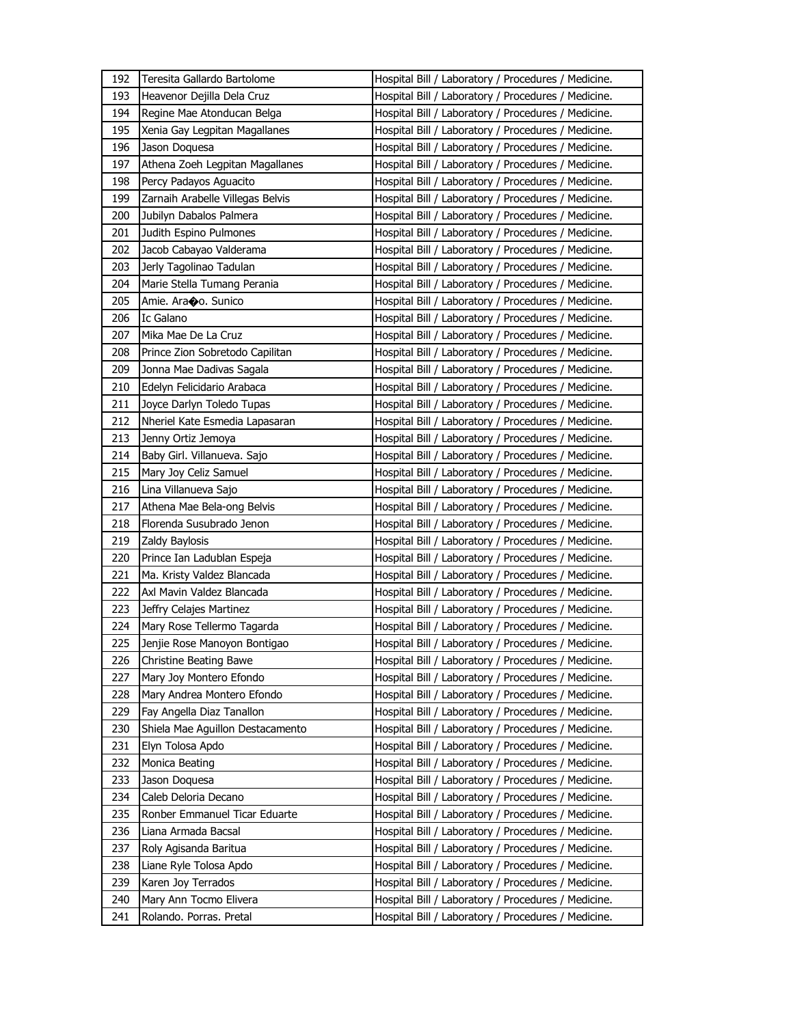| 192 | Teresita Gallardo Bartolome      | Hospital Bill / Laboratory / Procedures / Medicine. |
|-----|----------------------------------|-----------------------------------------------------|
| 193 | Heavenor Dejilla Dela Cruz       | Hospital Bill / Laboratory / Procedures / Medicine. |
| 194 | Regine Mae Atonducan Belga       | Hospital Bill / Laboratory / Procedures / Medicine. |
| 195 | Xenia Gay Legpitan Magallanes    | Hospital Bill / Laboratory / Procedures / Medicine. |
| 196 | Jason Doquesa                    | Hospital Bill / Laboratory / Procedures / Medicine. |
| 197 | Athena Zoeh Legpitan Magallanes  | Hospital Bill / Laboratory / Procedures / Medicine. |
| 198 | Percy Padayos Aguacito           | Hospital Bill / Laboratory / Procedures / Medicine. |
| 199 | Zarnaih Arabelle Villegas Belvis | Hospital Bill / Laboratory / Procedures / Medicine. |
| 200 | Jubilyn Dabalos Palmera          | Hospital Bill / Laboratory / Procedures / Medicine. |
| 201 | Judith Espino Pulmones           | Hospital Bill / Laboratory / Procedures / Medicine. |
| 202 | Jacob Cabayao Valderama          | Hospital Bill / Laboratory / Procedures / Medicine. |
| 203 | Jerly Tagolinao Tadulan          | Hospital Bill / Laboratory / Procedures / Medicine. |
| 204 | Marie Stella Tumang Perania      | Hospital Bill / Laboratory / Procedures / Medicine. |
| 205 | Amie. Araoo. Sunico              | Hospital Bill / Laboratory / Procedures / Medicine. |
| 206 | Ic Galano                        | Hospital Bill / Laboratory / Procedures / Medicine. |
| 207 | Mika Mae De La Cruz              | Hospital Bill / Laboratory / Procedures / Medicine. |
| 208 | Prince Zion Sobretodo Capilitan  | Hospital Bill / Laboratory / Procedures / Medicine. |
| 209 | Jonna Mae Dadivas Sagala         | Hospital Bill / Laboratory / Procedures / Medicine. |
| 210 | Edelyn Felicidario Arabaca       | Hospital Bill / Laboratory / Procedures / Medicine. |
| 211 | Joyce Darlyn Toledo Tupas        | Hospital Bill / Laboratory / Procedures / Medicine. |
| 212 | Nheriel Kate Esmedia Lapasaran   | Hospital Bill / Laboratory / Procedures / Medicine. |
| 213 | Jenny Ortiz Jemoya               | Hospital Bill / Laboratory / Procedures / Medicine. |
| 214 | Baby Girl. Villanueva. Sajo      | Hospital Bill / Laboratory / Procedures / Medicine. |
| 215 | Mary Joy Celiz Samuel            | Hospital Bill / Laboratory / Procedures / Medicine. |
| 216 | Lina Villanueva Sajo             | Hospital Bill / Laboratory / Procedures / Medicine. |
| 217 | Athena Mae Bela-ong Belvis       | Hospital Bill / Laboratory / Procedures / Medicine. |
| 218 | Florenda Susubrado Jenon         | Hospital Bill / Laboratory / Procedures / Medicine. |
| 219 | Zaldy Baylosis                   | Hospital Bill / Laboratory / Procedures / Medicine. |
| 220 | Prince Ian Ladublan Espeja       | Hospital Bill / Laboratory / Procedures / Medicine. |
| 221 | Ma. Kristy Valdez Blancada       | Hospital Bill / Laboratory / Procedures / Medicine. |
| 222 | Axl Mavin Valdez Blancada        | Hospital Bill / Laboratory / Procedures / Medicine. |
| 223 | Jeffry Celajes Martinez          | Hospital Bill / Laboratory / Procedures / Medicine. |
| 224 | Mary Rose Tellermo Tagarda       | Hospital Bill / Laboratory / Procedures / Medicine. |
| 225 | Jenjie Rose Manoyon Bontigao     | Hospital Bill / Laboratory / Procedures / Medicine. |
| 226 | <b>Christine Beating Bawe</b>    | Hospital Bill / Laboratory / Procedures / Medicine. |
| 227 | Mary Joy Montero Efondo          | Hospital Bill / Laboratory / Procedures / Medicine. |
| 228 | Mary Andrea Montero Efondo       | Hospital Bill / Laboratory / Procedures / Medicine. |
| 229 | Fay Angella Diaz Tanallon        | Hospital Bill / Laboratory / Procedures / Medicine. |
| 230 | Shiela Mae Aguillon Destacamento | Hospital Bill / Laboratory / Procedures / Medicine. |
| 231 | Elyn Tolosa Apdo                 | Hospital Bill / Laboratory / Procedures / Medicine. |
| 232 | Monica Beating                   | Hospital Bill / Laboratory / Procedures / Medicine. |
| 233 | Jason Doguesa                    | Hospital Bill / Laboratory / Procedures / Medicine. |
| 234 | Caleb Deloria Decano             | Hospital Bill / Laboratory / Procedures / Medicine. |
| 235 | Ronber Emmanuel Ticar Eduarte    | Hospital Bill / Laboratory / Procedures / Medicine. |
| 236 | Liana Armada Bacsal              | Hospital Bill / Laboratory / Procedures / Medicine. |
| 237 | Roly Agisanda Baritua            | Hospital Bill / Laboratory / Procedures / Medicine. |
| 238 | Liane Ryle Tolosa Apdo           | Hospital Bill / Laboratory / Procedures / Medicine. |
|     |                                  |                                                     |
| 239 | Karen Joy Terrados               | Hospital Bill / Laboratory / Procedures / Medicine. |
| 240 | Mary Ann Tocmo Elivera           | Hospital Bill / Laboratory / Procedures / Medicine. |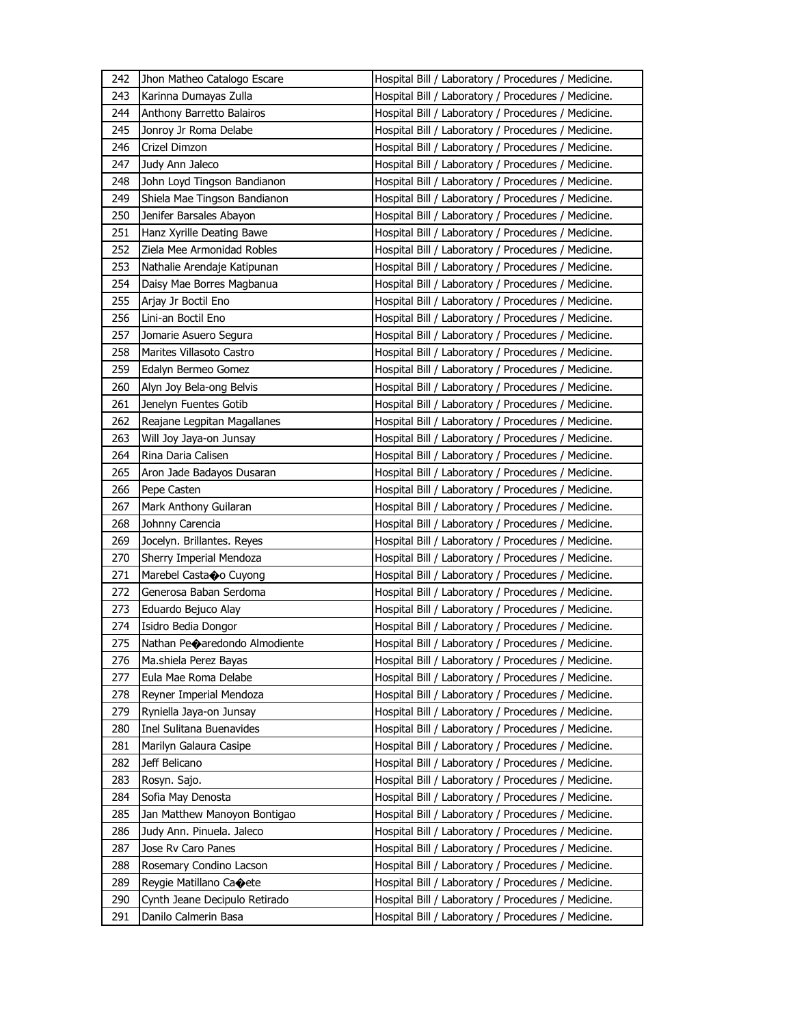| 242 | Jhon Matheo Catalogo Escare              | Hospital Bill / Laboratory / Procedures / Medicine. |
|-----|------------------------------------------|-----------------------------------------------------|
| 243 | Karinna Dumayas Zulla                    | Hospital Bill / Laboratory / Procedures / Medicine. |
| 244 | Anthony Barretto Balairos                | Hospital Bill / Laboratory / Procedures / Medicine. |
| 245 | Jonroy Jr Roma Delabe                    | Hospital Bill / Laboratory / Procedures / Medicine. |
| 246 | Crizel Dimzon                            | Hospital Bill / Laboratory / Procedures / Medicine. |
| 247 | Judy Ann Jaleco                          | Hospital Bill / Laboratory / Procedures / Medicine. |
| 248 | John Loyd Tingson Bandianon              | Hospital Bill / Laboratory / Procedures / Medicine. |
| 249 | Shiela Mae Tingson Bandianon             | Hospital Bill / Laboratory / Procedures / Medicine. |
| 250 | Jenifer Barsales Abayon                  | Hospital Bill / Laboratory / Procedures / Medicine. |
| 251 | Hanz Xyrille Deating Bawe                | Hospital Bill / Laboratory / Procedures / Medicine. |
| 252 | Ziela Mee Armonidad Robles               | Hospital Bill / Laboratory / Procedures / Medicine. |
| 253 | Nathalie Arendaje Katipunan              | Hospital Bill / Laboratory / Procedures / Medicine. |
| 254 | Daisy Mae Borres Magbanua                | Hospital Bill / Laboratory / Procedures / Medicine. |
| 255 | Arjay Jr Boctil Eno                      | Hospital Bill / Laboratory / Procedures / Medicine. |
| 256 | Lini-an Boctil Eno                       | Hospital Bill / Laboratory / Procedures / Medicine. |
| 257 | Jomarie Asuero Segura                    | Hospital Bill / Laboratory / Procedures / Medicine. |
| 258 | Marites Villasoto Castro                 | Hospital Bill / Laboratory / Procedures / Medicine. |
| 259 | Edalyn Bermeo Gomez                      | Hospital Bill / Laboratory / Procedures / Medicine. |
| 260 | Alyn Joy Bela-ong Belvis                 | Hospital Bill / Laboratory / Procedures / Medicine. |
| 261 | Jenelyn Fuentes Gotib                    | Hospital Bill / Laboratory / Procedures / Medicine. |
| 262 | Reajane Legpitan Magallanes              | Hospital Bill / Laboratory / Procedures / Medicine. |
| 263 | Will Joy Jaya-on Junsay                  | Hospital Bill / Laboratory / Procedures / Medicine. |
| 264 | Rina Daria Calisen                       | Hospital Bill / Laboratory / Procedures / Medicine. |
| 265 | Aron Jade Badayos Dusaran                | Hospital Bill / Laboratory / Procedures / Medicine. |
| 266 | Pepe Casten                              | Hospital Bill / Laboratory / Procedures / Medicine. |
| 267 | Mark Anthony Guilaran                    | Hospital Bill / Laboratory / Procedures / Medicine. |
| 268 | Johnny Carencia                          | Hospital Bill / Laboratory / Procedures / Medicine. |
| 269 | Jocelyn. Brillantes. Reyes               | Hospital Bill / Laboratory / Procedures / Medicine. |
| 270 | Sherry Imperial Mendoza                  | Hospital Bill / Laboratory / Procedures / Medicine. |
| 271 | Marebel Casta�o Cuyong                   | Hospital Bill / Laboratory / Procedures / Medicine. |
| 272 | Generosa Baban Serdoma                   | Hospital Bill / Laboratory / Procedures / Medicine. |
| 273 | Eduardo Bejuco Alay                      | Hospital Bill / Laboratory / Procedures / Medicine. |
| 274 | Isidro Bedia Dongor                      | Hospital Bill / Laboratory / Procedures / Medicine. |
| 275 | Nathan Pe $\diamond$ aredondo Almodiente | Hospital Bill / Laboratory / Procedures / Medicine. |
| 276 | Ma.shiela Perez Bayas                    | Hospital Bill / Laboratory / Procedures / Medicine. |
| 277 | Eula Mae Roma Delabe                     | Hospital Bill / Laboratory / Procedures / Medicine. |
| 278 | Reyner Imperial Mendoza                  | Hospital Bill / Laboratory / Procedures / Medicine. |
| 279 | Ryniella Jaya-on Junsay                  | Hospital Bill / Laboratory / Procedures / Medicine. |
| 280 | Inel Sulitana Buenavides                 | Hospital Bill / Laboratory / Procedures / Medicine. |
| 281 | Marilyn Galaura Casipe                   | Hospital Bill / Laboratory / Procedures / Medicine. |
| 282 | Jeff Belicano                            | Hospital Bill / Laboratory / Procedures / Medicine. |
| 283 | Rosyn. Sajo.                             | Hospital Bill / Laboratory / Procedures / Medicine. |
| 284 | Sofia May Denosta                        | Hospital Bill / Laboratory / Procedures / Medicine. |
| 285 | Jan Matthew Manoyon Bontigao             | Hospital Bill / Laboratory / Procedures / Medicine. |
| 286 | Judy Ann. Pinuela. Jaleco                | Hospital Bill / Laboratory / Procedures / Medicine. |
| 287 | Jose Rv Caro Panes                       | Hospital Bill / Laboratory / Procedures / Medicine. |
| 288 | Rosemary Condino Lacson                  | Hospital Bill / Laboratory / Procedures / Medicine. |
| 289 | Reygie Matillano Caoete                  | Hospital Bill / Laboratory / Procedures / Medicine. |
| 290 | Cynth Jeane Decipulo Retirado            | Hospital Bill / Laboratory / Procedures / Medicine. |
| 291 | Danilo Calmerin Basa                     | Hospital Bill / Laboratory / Procedures / Medicine. |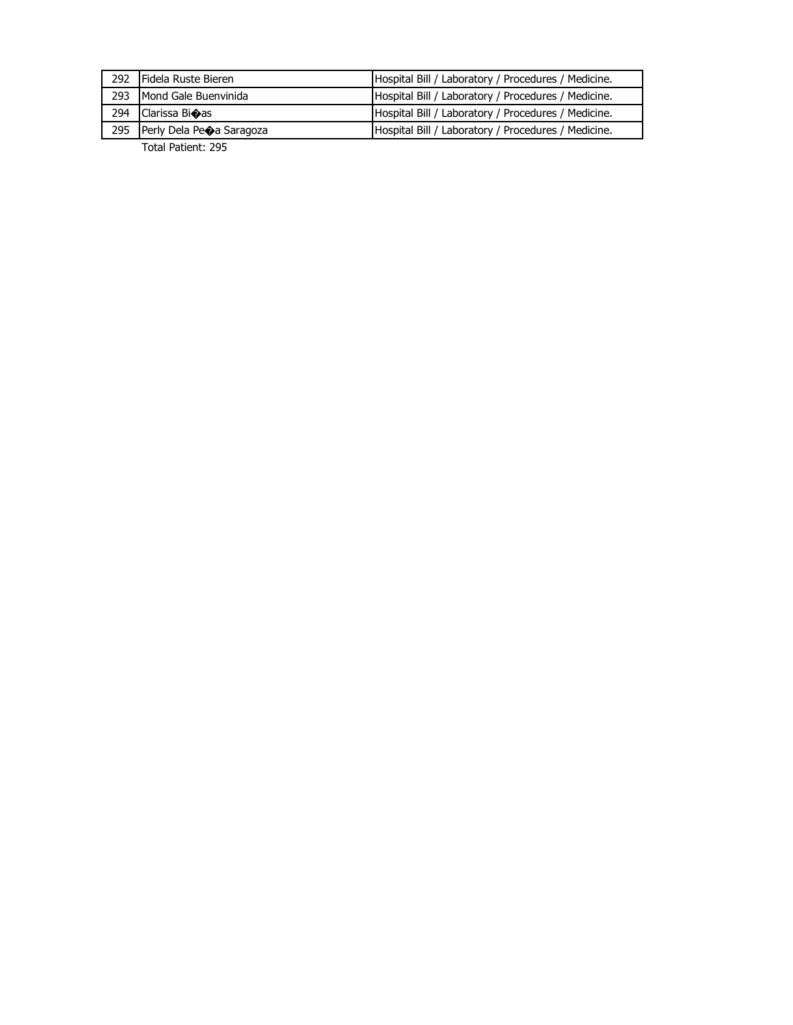| 292 Fidela Ruste Bieren      | Hospital Bill / Laboratory / Procedures / Medicine. |
|------------------------------|-----------------------------------------------------|
| 293 Mond Gale Buenvinida     | Hospital Bill / Laboratory / Procedures / Medicine. |
| 294 Clarissa Bi $\bullet$ as | Hospital Bill / Laboratory / Procedures / Medicine. |
| 295 Perly Dela Peoa Saragoza | Hospital Bill / Laboratory / Procedures / Medicine. |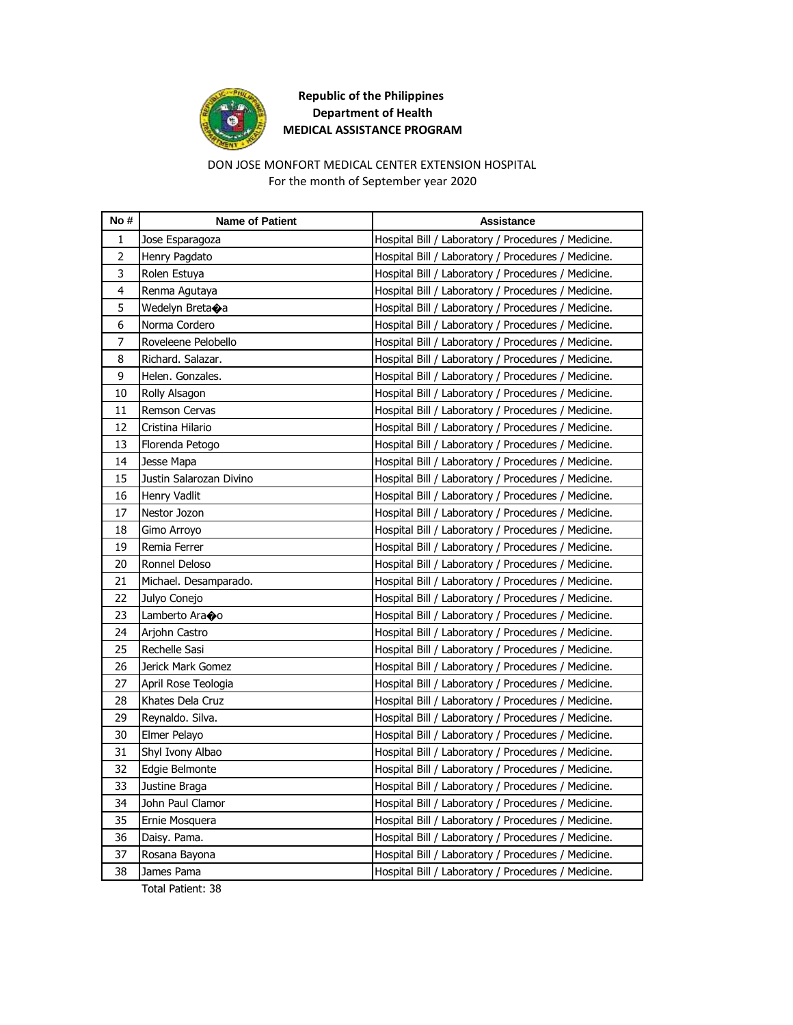

# DON JOSE MONFORT MEDICAL CENTER EXTENSION HOSPITAL For the month of September year 2020

| No #           | <b>Name of Patient</b>  | <b>Assistance</b>                                   |
|----------------|-------------------------|-----------------------------------------------------|
| $\mathbf{1}$   | Jose Esparagoza         | Hospital Bill / Laboratory / Procedures / Medicine. |
| $\overline{2}$ | Henry Pagdato           | Hospital Bill / Laboratory / Procedures / Medicine. |
| 3              | Rolen Estuya            | Hospital Bill / Laboratory / Procedures / Medicine. |
| 4              | Renma Agutaya           | Hospital Bill / Laboratory / Procedures / Medicine. |
| 5              | Wedelyn Breta�a         | Hospital Bill / Laboratory / Procedures / Medicine. |
| 6              | Norma Cordero           | Hospital Bill / Laboratory / Procedures / Medicine. |
| 7              | Roveleene Pelobello     | Hospital Bill / Laboratory / Procedures / Medicine. |
| 8              | Richard. Salazar.       | Hospital Bill / Laboratory / Procedures / Medicine. |
| 9              | Helen. Gonzales.        | Hospital Bill / Laboratory / Procedures / Medicine. |
| $10\,$         | Rolly Alsagon           | Hospital Bill / Laboratory / Procedures / Medicine. |
| 11             | Remson Cervas           | Hospital Bill / Laboratory / Procedures / Medicine. |
| 12             | Cristina Hilario        | Hospital Bill / Laboratory / Procedures / Medicine. |
| 13             | Florenda Petogo         | Hospital Bill / Laboratory / Procedures / Medicine. |
| 14             | Jesse Mapa              | Hospital Bill / Laboratory / Procedures / Medicine. |
| 15             | Justin Salarozan Divino | Hospital Bill / Laboratory / Procedures / Medicine. |
| 16             | Henry Vadlit            | Hospital Bill / Laboratory / Procedures / Medicine. |
| 17             | Nestor Jozon            | Hospital Bill / Laboratory / Procedures / Medicine. |
| 18             | Gimo Arroyo             | Hospital Bill / Laboratory / Procedures / Medicine. |
| 19             | Remia Ferrer            | Hospital Bill / Laboratory / Procedures / Medicine. |
| 20             | Ronnel Deloso           | Hospital Bill / Laboratory / Procedures / Medicine. |
| 21             | Michael. Desamparado.   | Hospital Bill / Laboratory / Procedures / Medicine. |
| 22             | Julyo Conejo            | Hospital Bill / Laboratory / Procedures / Medicine. |
| 23             | Lamberto Ara�o          | Hospital Bill / Laboratory / Procedures / Medicine. |
| 24             | Arjohn Castro           | Hospital Bill / Laboratory / Procedures / Medicine. |
| 25             | Rechelle Sasi           | Hospital Bill / Laboratory / Procedures / Medicine. |
| 26             | Jerick Mark Gomez       | Hospital Bill / Laboratory / Procedures / Medicine. |
| 27             | April Rose Teologia     | Hospital Bill / Laboratory / Procedures / Medicine. |
| 28             | Khates Dela Cruz        | Hospital Bill / Laboratory / Procedures / Medicine. |
| 29             | Reynaldo. Silva.        | Hospital Bill / Laboratory / Procedures / Medicine. |
| 30             | Elmer Pelayo            | Hospital Bill / Laboratory / Procedures / Medicine. |
| 31             | Shyl Ivony Albao        | Hospital Bill / Laboratory / Procedures / Medicine. |
| 32             | Edgie Belmonte          | Hospital Bill / Laboratory / Procedures / Medicine. |
| 33             | Justine Braga           | Hospital Bill / Laboratory / Procedures / Medicine. |
| 34             | John Paul Clamor        | Hospital Bill / Laboratory / Procedures / Medicine. |
| 35             | Ernie Mosquera          | Hospital Bill / Laboratory / Procedures / Medicine. |
| 36             | Daisy. Pama.            | Hospital Bill / Laboratory / Procedures / Medicine. |
| 37             | Rosana Bayona           | Hospital Bill / Laboratory / Procedures / Medicine. |
| 38             | James Pama              | Hospital Bill / Laboratory / Procedures / Medicine. |